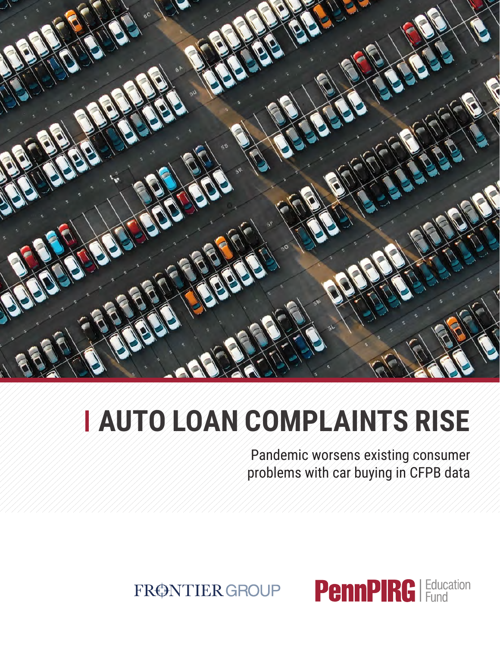

# **Auto Loan Complaints Rise**

Pandemic worsens existing consumer problems with car buying in CFPB data

FRØNTIER GROUP

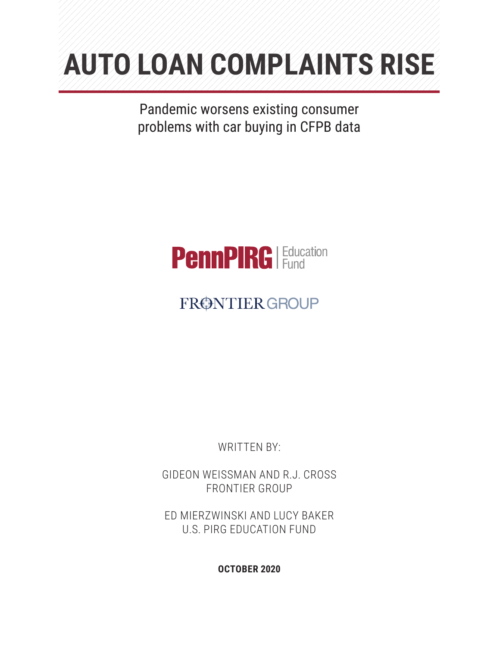# **Auto Loan Complaints Rise**

Pandemic worsens existing consumer problems with car buying in CFPB data



## FRØNTIER GROUP

WRITTEN BY:

Gideon Weissman and R.J. Cross Frontier Group

Ed Mierzwinski and Lucy Baker U.S. PIRG Education Fund

**October 2020**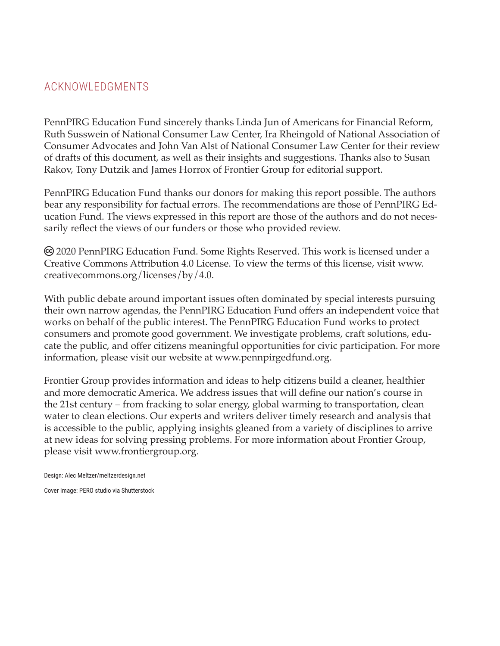## ACKNOWLEDGMENTS

PennPIRG Education Fund sincerely thanks Linda Jun of Americans for Financial Reform, Ruth Susswein of National Consumer Law Center, Ira Rheingold of National Association of Consumer Advocates and John Van Alst of National Consumer Law Center for their review of drafts of this document, as well as their insights and suggestions. Thanks also to Susan Rakov, Tony Dutzik and James Horrox of Frontier Group for editorial support.

PennPIRG Education Fund thanks our donors for making this report possible. The authors bear any responsibility for factual errors. The recommendations are those of PennPIRG Education Fund. The views expressed in this report are those of the authors and do not necessarily reflect the views of our funders or those who provided review.

 2020 PennPIRG Education Fund. Some Rights Reserved. This work is licensed under a Creative Commons Attribution 4.0 License. To view the terms of this license, visit www. creativecommons.org/licenses/by/4.0.

With public debate around important issues often dominated by special interests pursuing their own narrow agendas, the PennPIRG Education Fund offers an independent voice that works on behalf of the public interest. The PennPIRG Education Fund works to protect consumers and promote good government. We investigate problems, craft solutions, educate the public, and offer citizens meaningful opportunities for civic participation. For more information, please visit our website at www.pennpirgedfund.org.

Frontier Group provides information and ideas to help citizens build a cleaner, healthier and more democratic America. We address issues that will define our nation's course in the 21st century – from fracking to solar energy, global warming to transportation, clean water to clean elections. Our experts and writers deliver timely research and analysis that is accessible to the public, applying insights gleaned from a variety of disciplines to arrive at new ideas for solving pressing problems. For more information about Frontier Group, please visit www.frontiergroup.org.

Design: Alec Meltzer/meltzerdesign.net

Cover Image: PERO studio via Shutterstock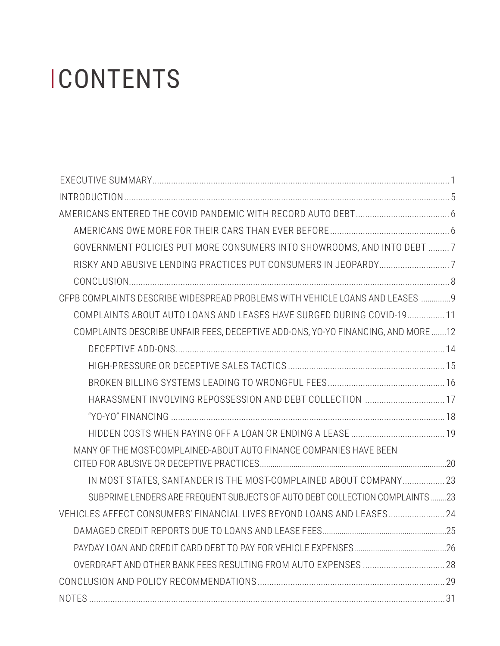# **ICONTENTS**

| GOVERNMENT POLICIES PUT MORE CONSUMERS INTO SHOWROOMS, AND INTO DEBT  7          |  |
|----------------------------------------------------------------------------------|--|
|                                                                                  |  |
|                                                                                  |  |
| CFPB COMPLAINTS DESCRIBE WIDESPREAD PROBLEMS WITH VEHICLE LOANS AND LEASES  9    |  |
| COMPLAINTS ABOUT AUTO LOANS AND LEASES HAVE SURGED DURING COVID-19 11            |  |
| COMPLAINTS DESCRIBE UNFAIR FEES, DECEPTIVE ADD-ONS, YO-YO FINANCING, AND MORE 12 |  |
|                                                                                  |  |
|                                                                                  |  |
|                                                                                  |  |
| HARASSMENT INVOLVING REPOSSESSION AND DEBT COLLECTION  17                        |  |
|                                                                                  |  |
|                                                                                  |  |
| MANY OF THE MOST-COMPLAINED-ABOUT AUTO FINANCE COMPANIES HAVE BEEN               |  |
|                                                                                  |  |
| IN MOST STATES, SANTANDER IS THE MOST-COMPLAINED ABOUT COMPANY 23                |  |
| SUBPRIME LENDERS ARE FREQUENT SUBJECTS OF AUTO DEBT COLLECTION COMPLAINTS 23     |  |
| VEHICLES AFFECT CONSUMERS' FINANCIAL LIVES BEYOND LOANS AND LEASES 24            |  |
|                                                                                  |  |
|                                                                                  |  |
|                                                                                  |  |
|                                                                                  |  |
|                                                                                  |  |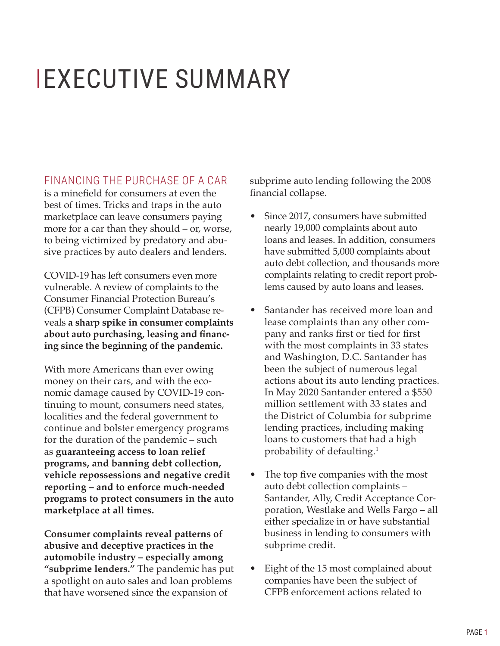## <span id="page-4-0"></span> EXECUTIVE SUMMARY

FINANCING THE PURCHASE OF A CAR is a minefield for consumers at even the best of times. Tricks and traps in the auto marketplace can leave consumers paying more for a car than they should – or, worse, to being victimized by predatory and abusive practices by auto dealers and lenders.

COVID-19 has left consumers even more vulnerable. A review of complaints to the Consumer Financial Protection Bureau's (CFPB) Consumer Complaint Database reveals **a sharp spike in consumer complaints about auto purchasing, leasing and financing since the beginning of the pandemic.**

With more Americans than ever owing money on their cars, and with the economic damage caused by COVID-19 continuing to mount, consumers need states, localities and the federal government to continue and bolster emergency programs for the duration of the pandemic – such as **guaranteeing access to loan relief programs, and banning debt collection, vehicle repossessions and negative credit reporting – and to enforce much-needed programs to protect consumers in the auto marketplace at all times.** 

**Consumer complaints reveal patterns of abusive and deceptive practices in the automobile industry – especially among "subprime lenders."** The pandemic has put a spotlight on auto sales and loan problems that have worsened since the expansion of

subprime auto lending following the 2008 financial collapse.

- Since 2017, consumers have submitted nearly 19,000 complaints about auto loans and leases. In addition, consumers have submitted 5,000 complaints about auto debt collection, and thousands more complaints relating to credit report problems caused by auto loans and leases.
- Santander has received more loan and lease complaints than any other company and ranks first or tied for first with the most complaints in 33 states and Washington, D.C. Santander has been the subject of numerous legal actions about its auto lending practices. In May 2020 Santander entered a \$550 million settlement with 33 states and the District of Columbia for subprime lending practices, including making loans to customers that had a high probability of defaulting.<sup>1</sup>
- The top five companies with the most auto debt collection complaints – Santander, Ally, Credit Acceptance Corporation, Westlake and Wells Fargo – all either specialize in or have substantial business in lending to consumers with subprime credit.
- Eight of the 15 most complained about companies have been the subject of CFPB enforcement actions related to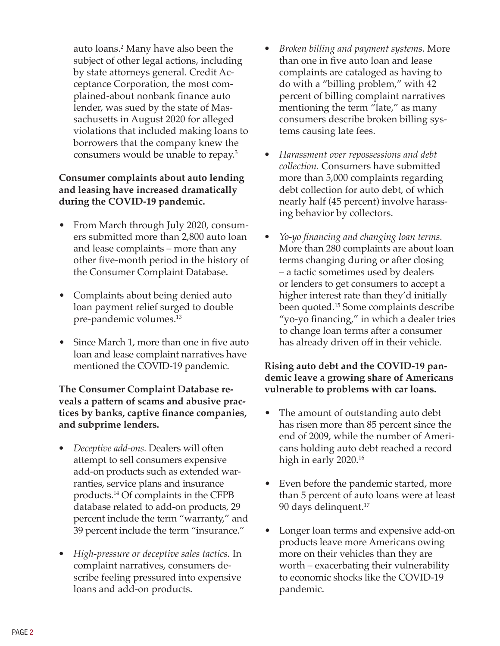auto loans.2 Many have also been the subject of other legal actions, including by state attorneys general. Credit Acceptance Corporation, the most complained-about nonbank finance auto lender, was sued by the state of Massachusetts in August 2020 for alleged violations that included making loans to borrowers that the company knew the consumers would be unable to repay.3

#### **Consumer complaints about auto lending and leasing have increased dramatically during the COVID-19 pandemic.**

- From March through July 2020, consumers submitted more than 2,800 auto loan and lease complaints – more than any other five-month period in the history of the Consumer Complaint Database.
- Complaints about being denied auto loan payment relief surged to double pre-pandemic volumes.<sup>13</sup>
- Since March 1, more than one in five auto loan and lease complaint narratives have mentioned the COVID-19 pandemic.

#### **The Consumer Complaint Database reveals a pattern of scams and abusive practices by banks, captive finance companies, and subprime lenders.**

- *• Deceptive add-ons.* Dealers will often attempt to sell consumers expensive add-on products such as extended warranties, service plans and insurance products.14 Of complaints in the CFPB database related to add-on products, 29 percent include the term "warranty," and 39 percent include the term "insurance."
- *• High-pressure or deceptive sales tactics.* In complaint narratives, consumers describe feeling pressured into expensive loans and add-on products.
- *• Broken billing and payment systems.* More than one in five auto loan and lease complaints are cataloged as having to do with a "billing problem," with 42 percent of billing complaint narratives mentioning the term "late," as many consumers describe broken billing systems causing late fees.
- *• Harassment over repossessions and debt collection.* Consumers have submitted more than 5,000 complaints regarding debt collection for auto debt, of which nearly half (45 percent) involve harassing behavior by collectors.
- *• Yo-yo financing and changing loan terms.* More than 280 complaints are about loan terms changing during or after closing – a tactic sometimes used by dealers or lenders to get consumers to accept a higher interest rate than they'd initially been quoted.15 Some complaints describe "yo-yo financing," in which a dealer tries to change loan terms after a consumer has already driven off in their vehicle.

#### **Rising auto debt and the COVID-19 pandemic leave a growing share of Americans vulnerable to problems with car loans.**

- The amount of outstanding auto debt has risen more than 85 percent since the end of 2009, while the number of Americans holding auto debt reached a record high in early 2020.<sup>16</sup>
- Even before the pandemic started, more than 5 percent of auto loans were at least 90 days delinquent.<sup>17</sup>
- Longer loan terms and expensive add-on products leave more Americans owing more on their vehicles than they are worth – exacerbating their vulnerability to economic shocks like the COVID-19 pandemic.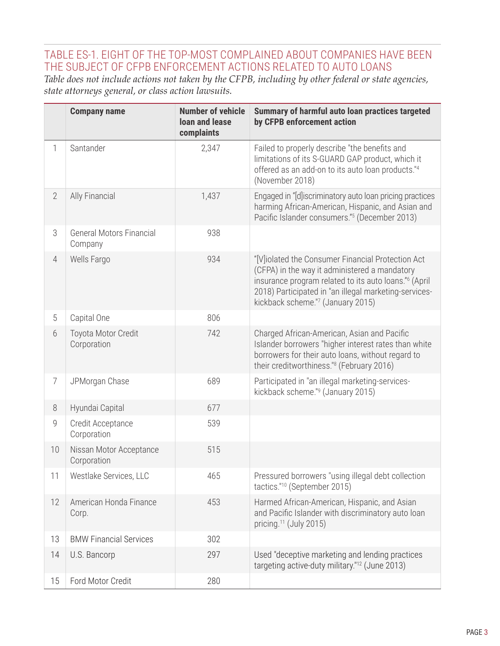## TABLE ES-1. EIGHT OF THE TOP-MOST COMPLAINED ABOUT COMPANIES HAVE BEEN THE SUBJECT OF CFPB ENFORCEMENT ACTIONS RELATED TO AUTO LOANS

*Table does not include actions not taken by the CFPB, including by other federal or state agencies, state attorneys general, or class action lawsuits.*

|                | <b>Company name</b>                        | <b>Number of vehicle</b><br><b>loan and lease</b><br>complaints | Summary of harmful auto loan practices targeted<br>by CFPB enforcement action                                                                                                                                                                                         |
|----------------|--------------------------------------------|-----------------------------------------------------------------|-----------------------------------------------------------------------------------------------------------------------------------------------------------------------------------------------------------------------------------------------------------------------|
| 1              | Santander                                  | 2,347                                                           | Failed to properly describe "the benefits and<br>limitations of its S-GUARD GAP product, which it<br>offered as an add-on to its auto loan products."4<br>(November 2018)                                                                                             |
| $\overline{2}$ | Ally Financial                             | 1,437                                                           | Engaged in "[d]iscriminatory auto loan pricing practices<br>harming African-American, Hispanic, and Asian and<br>Pacific Islander consumers." <sup>5</sup> (December 2013)                                                                                            |
| 3              | <b>General Motors Financial</b><br>Company | 938                                                             |                                                                                                                                                                                                                                                                       |
| $\overline{4}$ | Wells Fargo                                | 934                                                             | "[V]iolated the Consumer Financial Protection Act<br>(CFPA) in the way it administered a mandatory<br>insurance program related to its auto loans." <sup>6</sup> (April<br>2018) Participated in "an illegal marketing-services-<br>kickback scheme."7 (January 2015) |
| 5              | Capital One                                | 806                                                             |                                                                                                                                                                                                                                                                       |
| 6              | Toyota Motor Credit<br>Corporation         | 742                                                             | Charged African-American, Asian and Pacific<br>Islander borrowers "higher interest rates than white<br>borrowers for their auto loans, without regard to<br>their creditworthiness." <sup>8</sup> (February 2016)                                                     |
| $\overline{7}$ | JPMorgan Chase                             | 689                                                             | Participated in "an illegal marketing-services-<br>kickback scheme." <sup>9</sup> (January 2015)                                                                                                                                                                      |
| 8              | Hyundai Capital                            | 677                                                             |                                                                                                                                                                                                                                                                       |
| 9              | Credit Acceptance<br>Corporation           | 539                                                             |                                                                                                                                                                                                                                                                       |
| 10             | Nissan Motor Acceptance<br>Corporation     | 515                                                             |                                                                                                                                                                                                                                                                       |
| 11             | Westlake Services, LLC                     | 465                                                             | Pressured borrowers "using illegal debt collection<br>tactics." <sup>10</sup> (September 2015)                                                                                                                                                                        |
| 12             | American Honda Finance<br>Corp.            | 453                                                             | Harmed African-American, Hispanic, and Asian<br>and Pacific Islander with discriminatory auto loan<br>pricing. <sup>11</sup> (July 2015)                                                                                                                              |
| 13             | <b>BMW Financial Services</b>              | 302                                                             |                                                                                                                                                                                                                                                                       |
| 14             | U.S. Bancorp                               | 297                                                             | Used "deceptive marketing and lending practices<br>targeting active-duty military." <sup>12</sup> (June 2013)                                                                                                                                                         |
| 15             | Ford Motor Credit                          | 280                                                             |                                                                                                                                                                                                                                                                       |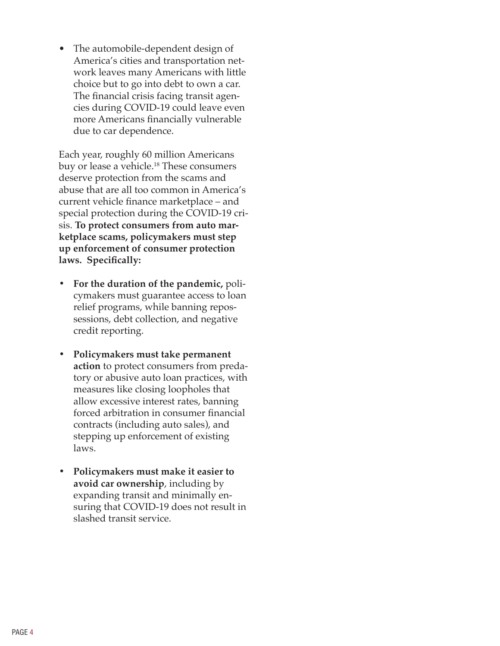• The automobile-dependent design of America's cities and transportation network leaves many Americans with little choice but to go into debt to own a car. The financial crisis facing transit agencies during COVID-19 could leave even more Americans financially vulnerable due to car dependence.

Each year, roughly 60 million Americans buy or lease a vehicle.18 These consumers deserve protection from the scams and abuse that are all too common in America's current vehicle finance marketplace – and special protection during the COVID-19 crisis. **To protect consumers from auto marketplace scams, policymakers must step up enforcement of consumer protection laws. Specifically:** 

- **• For the duration of the pandemic,** policymakers must guarantee access to loan relief programs, while banning repossessions, debt collection, and negative credit reporting.
- **• Policymakers must take permanent action** to protect consumers from predatory or abusive auto loan practices, with measures like closing loopholes that allow excessive interest rates, banning forced arbitration in consumer financial contracts (including auto sales), and stepping up enforcement of existing laws.
- **• Policymakers must make it easier to avoid car ownership**, including by expanding transit and minimally ensuring that COVID-19 does not result in slashed transit service.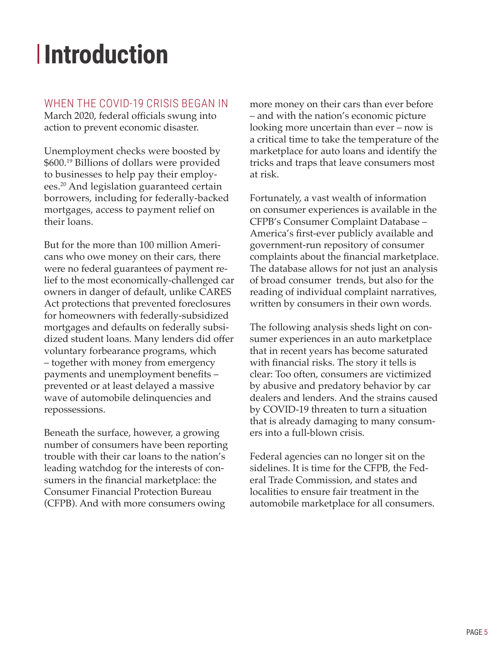## <span id="page-8-0"></span>**Introduction**

## WHEN THE COVID-19 CRISIS BEGAN IN

March 2020, federal officials swung into action to prevent economic disaster.

Unemployment checks were boosted by \$600.19 Billions of dollars were provided to businesses to help pay their employees.20 And legislation guaranteed certain borrowers, including for federally-backed mortgages, access to payment relief on their loans.

But for the more than 100 million Americans who owe money on their cars, there were no federal guarantees of payment relief to the most economically-challenged car owners in danger of default, unlike CARES Act protections that prevented foreclosures for homeowners with federally-subsidized mortgages and defaults on federally subsidized student loans. Many lenders did offer voluntary forbearance programs, which – together with money from emergency payments and unemployment benefits – prevented or at least delayed a massive wave of automobile delinquencies and repossessions.

Beneath the surface, however, a growing number of consumers have been reporting trouble with their car loans to the nation's leading watchdog for the interests of consumers in the financial marketplace: the Consumer Financial Protection Bureau (CFPB). And with more consumers owing

more money on their cars than ever before – and with the nation's economic picture looking more uncertain than ever – now is a critical time to take the temperature of the marketplace for auto loans and identify the tricks and traps that leave consumers most at risk.

Fortunately, a vast wealth of information on consumer experiences is available in the CFPB's Consumer Complaint Database – America's first-ever publicly available and government-run repository of consumer complaints about the financial marketplace. The database allows for not just an analysis of broad consumer trends, but also for the reading of individual complaint narratives, written by consumers in their own words.

The following analysis sheds light on consumer experiences in an auto marketplace that in recent years has become saturated with financial risks. The story it tells is clear: Too often, consumers are victimized by abusive and predatory behavior by car dealers and lenders. And the strains caused by COVID-19 threaten to turn a situation that is already damaging to many consumers into a full-blown crisis.

Federal agencies can no longer sit on the sidelines. It is time for the CFPB, the Federal Trade Commission, and states and localities to ensure fair treatment in the automobile marketplace for all consumers.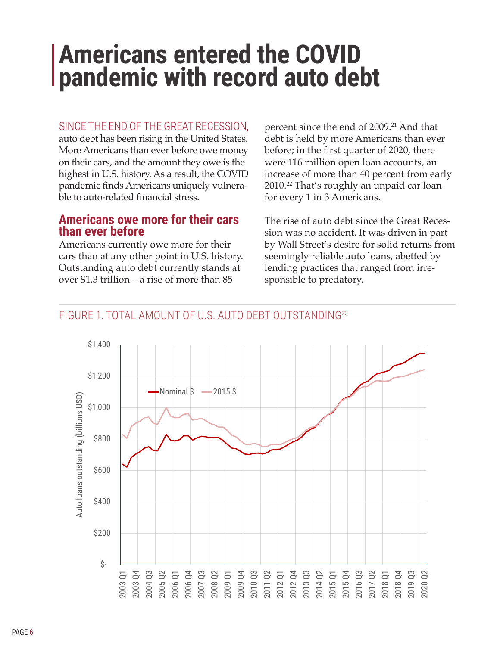## <span id="page-9-0"></span>**Americans entered the COVID pandemic with record auto debt**

#### SINCE THE END OF THE GREAT RECESSION,

auto debt has been rising in the United States. More Americans than ever before owe money on their cars, and the amount they owe is the highest in U.S. history. As a result, the COVID pandemic finds Americans uniquely vulnerable to auto-related financial stress.

### **Americans owe more for their cars than ever before**

Americans currently owe more for their cars than at any other point in U.S. history. Outstanding auto debt currently stands at over \$1.3 trillion – a rise of more than 85

percent since the end of 2009.<sup>21</sup> And that debt is held by more Americans than ever before; in the first quarter of 2020, there were 116 million open loan accounts, an increase of more than 40 percent from early 2010.<sup>22</sup> That's roughly an unpaid car loan for every 1 in 3 Americans.

The rise of auto debt since the Great Recession was no accident. It was driven in part by Wall Street's desire for solid returns from seemingly reliable auto loans, abetted by lending practices that ranged from irresponsible to predatory.

## FIGURE 1. TOTAL AMOUNT OF U.S. AUTO DEBT OUTSTANDING23

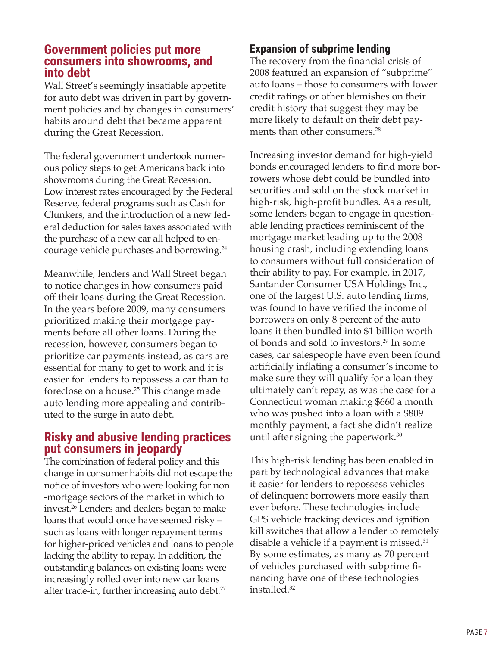#### <span id="page-10-0"></span>**Government policies put more consumers into showrooms, and into debt**

Wall Street's seemingly insatiable appetite for auto debt was driven in part by government policies and by changes in consumers' habits around debt that became apparent during the Great Recession.

The federal government undertook numerous policy steps to get Americans back into showrooms during the Great Recession. Low interest rates encouraged by the Federal Reserve, federal programs such as Cash for Clunkers, and the introduction of a new federal deduction for sales taxes associated with the purchase of a new car all helped to encourage vehicle purchases and borrowing.24

Meanwhile, lenders and Wall Street began to notice changes in how consumers paid off their loans during the Great Recession. In the years before 2009, many consumers prioritized making their mortgage payments before all other loans. During the recession, however, consumers began to prioritize car payments instead, as cars are essential for many to get to work and it is easier for lenders to repossess a car than to foreclose on a house.25 This change made auto lending more appealing and contributed to the surge in auto debt.

## **Risky and abusive lending practices put consumers in jeopardy**

The combination of federal policy and this change in consumer habits did not escape the notice of investors who were looking for non -mortgage sectors of the market in which to invest.26 Lenders and dealers began to make loans that would once have seemed risky – such as loans with longer repayment terms for higher-priced vehicles and loans to people lacking the ability to repay. In addition, the outstanding balances on existing loans were increasingly rolled over into new car loans after trade-in, further increasing auto debt.27

## **Expansion of subprime lending**

The recovery from the financial crisis of 2008 featured an expansion of "subprime" auto loans – those to consumers with lower credit ratings or other blemishes on their credit history that suggest they may be more likely to default on their debt payments than other consumers.<sup>28</sup>

Increasing investor demand for high-yield bonds encouraged lenders to find more borrowers whose debt could be bundled into securities and sold on the stock market in high-risk, high-profit bundles. As a result, some lenders began to engage in questionable lending practices reminiscent of the mortgage market leading up to the 2008 housing crash, including extending loans to consumers without full consideration of their ability to pay. For example, in 2017, Santander Consumer USA Holdings Inc., one of the largest U.S. auto lending firms, was found to have verified the income of borrowers on only 8 percent of the auto loans it then bundled into \$1 billion worth of bonds and sold to investors.29 In some cases, car salespeople have even been found artificially inflating a consumer's income to make sure they will qualify for a loan they ultimately can't repay, as was the case for a Connecticut woman making \$660 a month who was pushed into a loan with a \$809 monthly payment, a fact she didn't realize until after signing the paperwork.30

This high-risk lending has been enabled in part by technological advances that make it easier for lenders to repossess vehicles of delinquent borrowers more easily than ever before. These technologies include GPS vehicle tracking devices and ignition kill switches that allow a lender to remotely disable a vehicle if a payment is missed. $31$ By some estimates, as many as 70 percent of vehicles purchased with subprime financing have one of these technologies installed.32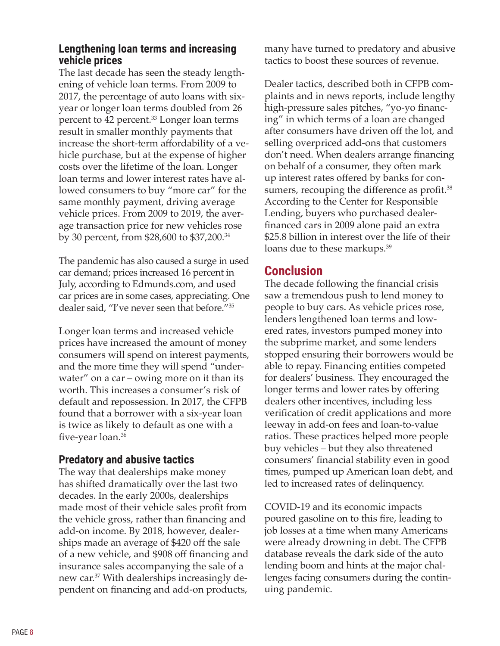#### <span id="page-11-0"></span>**Lengthening loan terms and increasing vehicle prices**

The last decade has seen the steady lengthening of vehicle loan terms. From 2009 to 2017, the percentage of auto loans with sixyear or longer loan terms doubled from 26 percent to 42 percent.33 Longer loan terms result in smaller monthly payments that increase the short-term affordability of a vehicle purchase, but at the expense of higher costs over the lifetime of the loan. Longer loan terms and lower interest rates have allowed consumers to buy "more car" for the same monthly payment, driving average vehicle prices. From 2009 to 2019, the average transaction price for new vehicles rose by 30 percent, from \$28,600 to \$37,200.34

The pandemic has also caused a surge in used car demand; prices increased 16 percent in July, according to Edmunds.com, and used car prices are in some cases, appreciating. One dealer said, "I've never seen that before."<sup>35</sup>

Longer loan terms and increased vehicle prices have increased the amount of money consumers will spend on interest payments, and the more time they will spend "underwater" on a car – owing more on it than its worth. This increases a consumer's risk of default and repossession. In 2017, the CFPB found that a borrower with a six-year loan is twice as likely to default as one with a five-year loan.<sup>36</sup>

## **Predatory and abusive tactics**

The way that dealerships make money has shifted dramatically over the last two decades. In the early 2000s, dealerships made most of their vehicle sales profit from the vehicle gross, rather than financing and add-on income. By 2018, however, dealerships made an average of \$420 off the sale of a new vehicle, and \$908 off financing and insurance sales accompanying the sale of a new car.<sup>37</sup> With dealerships increasingly dependent on financing and add-on products,

many have turned to predatory and abusive tactics to boost these sources of revenue.

Dealer tactics, described both in CFPB complaints and in news reports, include lengthy high-pressure sales pitches, "yo-yo financing" in which terms of a loan are changed after consumers have driven off the lot, and selling overpriced add-ons that customers don't need. When dealers arrange financing on behalf of a consumer, they often mark up interest rates offered by banks for consumers, recouping the difference as profit. $38$ According to the Center for Responsible Lending, buyers who purchased dealerfinanced cars in 2009 alone paid an extra \$25.8 billion in interest over the life of their loans due to these markups.<sup>39</sup>

## **Conclusion**

The decade following the financial crisis saw a tremendous push to lend money to people to buy cars. As vehicle prices rose, lenders lengthened loan terms and lowered rates, investors pumped money into the subprime market, and some lenders stopped ensuring their borrowers would be able to repay. Financing entities competed for dealers' business. They encouraged the longer terms and lower rates by offering dealers other incentives, including less verification of credit applications and more leeway in add-on fees and loan-to-value ratios. These practices helped more people buy vehicles – but they also threatened consumers' financial stability even in good times, pumped up American loan debt, and led to increased rates of delinquency.

COVID-19 and its economic impacts poured gasoline on to this fire, leading to job losses at a time when many Americans were already drowning in debt. The CFPB database reveals the dark side of the auto lending boom and hints at the major challenges facing consumers during the continuing pandemic.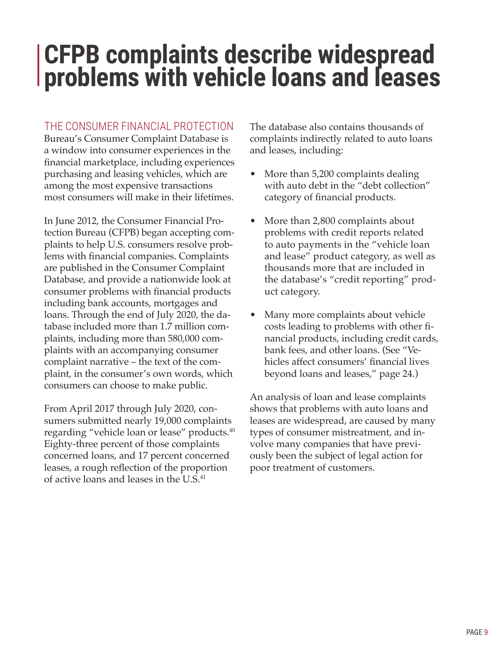## <span id="page-12-0"></span>**CFPB complaints describe widespread problems with vehicle loans and leases**

#### THE CONSUMER FINANCIAL PROTECTION

Bureau's Consumer Complaint Database is a window into consumer experiences in the financial marketplace, including experiences purchasing and leasing vehicles, which are among the most expensive transactions most consumers will make in their lifetimes.

In June 2012, the Consumer Financial Protection Bureau (CFPB) began accepting complaints to help U.S. consumers resolve problems with financial companies. Complaints are published in the Consumer Complaint Database, and provide a nationwide look at consumer problems with financial products including bank accounts, mortgages and loans. Through the end of July 2020, the database included more than 1.7 million complaints, including more than 580,000 complaints with an accompanying consumer complaint narrative – the text of the complaint, in the consumer's own words, which consumers can choose to make public.

From April 2017 through July 2020, consumers submitted nearly 19,000 complaints regarding "vehicle loan or lease" products.<sup>40</sup> Eighty-three percent of those complaints concerned loans, and 17 percent concerned leases, a rough reflection of the proportion of active loans and leases in the U.S.<sup>41</sup>

The database also contains thousands of complaints indirectly related to auto loans and leases, including:

- More than 5,200 complaints dealing with auto debt in the "debt collection" category of financial products.
- More than 2,800 complaints about problems with credit reports related to auto payments in the "vehicle loan and lease" product category, as well as thousands more that are included in the database's "credit reporting" product category.
- Many more complaints about vehicle costs leading to problems with other financial products, including credit cards, bank fees, and other loans. (See "Vehicles affect consumers' financial lives beyond loans and leases," page 24.)

An analysis of loan and lease complaints shows that problems with auto loans and leases are widespread, are caused by many types of consumer mistreatment, and involve many companies that have previously been the subject of legal action for poor treatment of customers.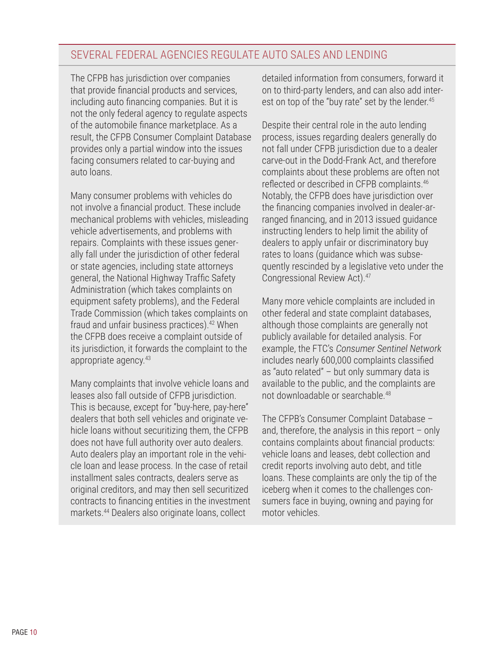## SEVERAL FEDERAL AGENCIES REGULATE AUTO SALES AND LENDING

The CFPB has jurisdiction over companies that provide financial products and services, including auto financing companies. But it is not the only federal agency to regulate aspects of the automobile finance marketplace. As a result, the CFPB Consumer Complaint Database provides only a partial window into the issues facing consumers related to car-buying and auto loans.

Many consumer problems with vehicles do not involve a financial product. These include mechanical problems with vehicles, misleading vehicle advertisements, and problems with repairs. Complaints with these issues generally fall under the jurisdiction of other federal or state agencies, including state attorneys general, the National Highway Traffic Safety Administration (which takes complaints on equipment safety problems), and the Federal Trade Commission (which takes complaints on fraud and unfair business practices).42 When the CFPB does receive a complaint outside of its jurisdiction, it forwards the complaint to the appropriate agency.43

Many complaints that involve vehicle loans and leases also fall outside of CFPB jurisdiction. This is because, except for "buy-here, pay-here" dealers that both sell vehicles and originate vehicle loans without securitizing them, the CFPB does not have full authority over auto dealers. Auto dealers play an important role in the vehicle loan and lease process. In the case of retail installment sales contracts, dealers serve as original creditors, and may then sell securitized contracts to financing entities in the investment markets.44 Dealers also originate loans, collect

detailed information from consumers, forward it on to third-party lenders, and can also add interest on top of the "buy rate" set by the lender.<sup>45</sup>

Despite their central role in the auto lending process, issues regarding dealers generally do not fall under CFPB jurisdiction due to a dealer carve-out in the Dodd-Frank Act, and therefore complaints about these problems are often not reflected or described in CFPB complaints.<sup>46</sup> Notably, the CFPB does have jurisdiction over the financing companies involved in dealer-arranged financing, and in 2013 issued guidance instructing lenders to help limit the ability of dealers to apply unfair or discriminatory buy rates to loans (guidance which was subsequently rescinded by a legislative veto under the Congressional Review Act).<sup>47</sup>

Many more vehicle complaints are included in other federal and state complaint databases, although those complaints are generally not publicly available for detailed analysis. For example, the FTC's Consumer Sentinel Network includes nearly 600,000 complaints classified as "auto related" – but only summary data is available to the public, and the complaints are not downloadable or searchable.<sup>48</sup>

The CFPB's Consumer Complaint Database – and, therefore, the analysis in this report  $-$  only contains complaints about financial products: vehicle loans and leases, debt collection and credit reports involving auto debt, and title loans. These complaints are only the tip of the iceberg when it comes to the challenges consumers face in buying, owning and paying for motor vehicles.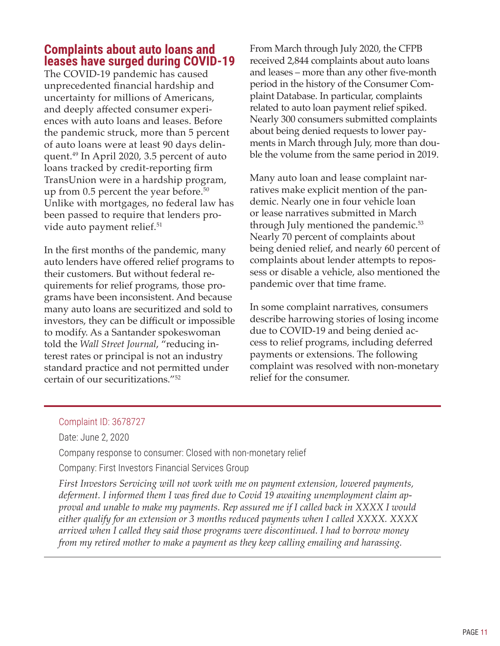## <span id="page-14-0"></span>**Complaints about auto loans and leases have surged during COVID-19**

The COVID-19 pandemic has caused unprecedented financial hardship and uncertainty for millions of Americans, and deeply affected consumer experiences with auto loans and leases. Before the pandemic struck, more than 5 percent of auto loans were at least 90 days delinquent.49 In April 2020, 3.5 percent of auto loans tracked by credit-reporting firm TransUnion were in a hardship program, up from  $0.5$  percent the year before.<sup>50</sup> Unlike with mortgages, no federal law has been passed to require that lenders provide auto payment relief.<sup>51</sup>

In the first months of the pandemic, many auto lenders have offered relief programs to their customers. But without federal requirements for relief programs, those programs have been inconsistent. And because many auto loans are securitized and sold to investors, they can be difficult or impossible to modify. As a Santander spokeswoman told the *Wall Street Journal*, "reducing interest rates or principal is not an industry standard practice and not permitted under certain of our securitizations."52

From March through July 2020, the CFPB received 2,844 complaints about auto loans and leases – more than any other five-month period in the history of the Consumer Complaint Database. In particular, complaints related to auto loan payment relief spiked. Nearly 300 consumers submitted complaints about being denied requests to lower payments in March through July, more than double the volume from the same period in 2019.

Many auto loan and lease complaint narratives make explicit mention of the pandemic. Nearly one in four vehicle loan or lease narratives submitted in March through July mentioned the pandemic.<sup>53</sup> Nearly 70 percent of complaints about being denied relief, and nearly 60 percent of complaints about lender attempts to repossess or disable a vehicle, also mentioned the pandemic over that time frame.

In some complaint narratives, consumers describe harrowing stories of losing income due to COVID-19 and being denied access to relief programs, including deferred payments or extensions. The following complaint was resolved with non-monetary relief for the consumer.

#### Complaint ID: 3678727

Date: June 2, 2020

Company response to consumer: Closed with non-monetary relief

Company: First Investors Financial Services Group

*First Investors Servicing will not work with me on payment extension, lowered payments, deferment. I informed them I was fired due to Covid 19 awaiting unemployment claim approval and unable to make my payments. Rep assured me if I called back in XXXX I would either qualify for an extension or 3 months reduced payments when I called XXXX. XXXX arrived when I called they said those programs were discontinued. I had to borrow money from my retired mother to make a payment as they keep calling emailing and harassing.*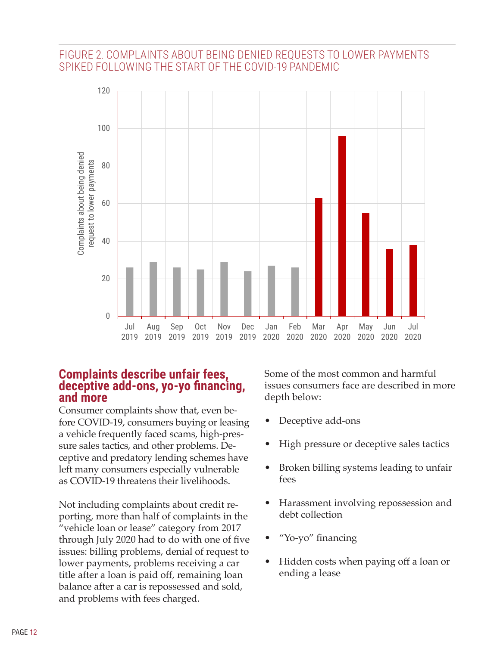### <span id="page-15-0"></span>FIGURE 2. COMPLAINTS ABOUT BEING DENIED REQUESTS TO LOWER PAYMENTS SPIKED FOLLOWING THE START OF THE COVID-19 PANDEMIC



### **Complaints describe unfair fees, deceptive add-ons, yo-yo financing, and more**

Consumer complaints show that, even before COVID-19, consumers buying or leasing a vehicle frequently faced scams, high-pressure sales tactics, and other problems. Deceptive and predatory lending schemes have left many consumers especially vulnerable as COVID-19 threatens their livelihoods.

Not including complaints about credit reporting, more than half of complaints in the "vehicle loan or lease" category from 2017 through July 2020 had to do with one of five issues: billing problems, denial of request to lower payments, problems receiving a car title after a loan is paid off, remaining loan balance after a car is repossessed and sold, and problems with fees charged.

Some of the most common and harmful issues consumers face are described in more depth below:

- Deceptive add-ons
- High pressure or deceptive sales tactics
- Broken billing systems leading to unfair fees
- Harassment involving repossession and debt collection
- "Yo-yo" financing
- Hidden costs when paying off a loan or ending a lease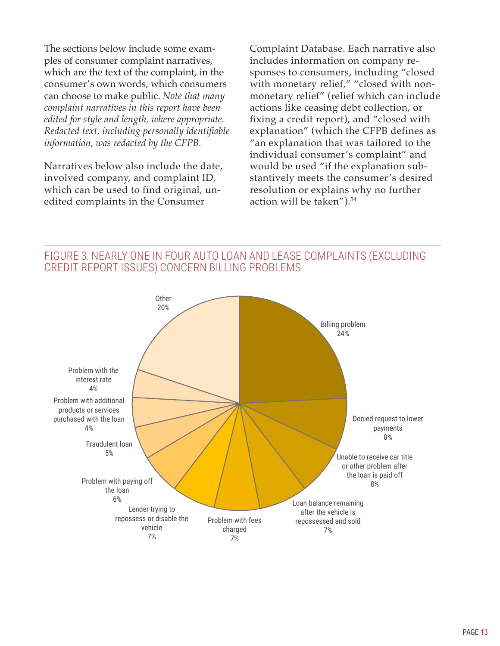The sections below include some examples of consumer complaint narratives, which are the text of the complaint, in the consumer's own words, which consumers can choose to make public. *Note that many complaint narratives in this report have been edited for style and length, where appropriate. Redacted text, including personally identifiable information, was redacted by the CFPB.*

Narratives below also include the date, involved company, and complaint ID, which can be used to find original, unedited complaints in the Consumer

Complaint Database. Each narrative also includes information on company responses to consumers, including "closed with monetary relief," "closed with nonmonetary relief" (relief which can include actions like ceasing debt collection, or fixing a credit report), and "closed with explanation" (which the CFPB defines as "an explanation that was tailored to the individual consumer's complaint" and would be used "if the explanation substantively meets the consumer's desired resolution or explains why no further action will be taken").54

FIGURE 3. NEARLY ONE IN FOUR AUTO LOAN AND LEASE COMPLAINTS (EXCLUDING CREDIT REPORT ISSUES) CONCERN BILLING PROBLEMS

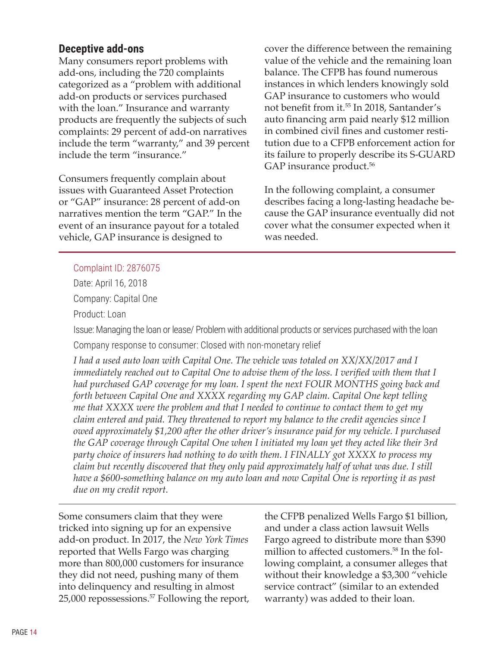#### <span id="page-17-0"></span>**Deceptive add-ons**

Many consumers report problems with add-ons, including the 720 complaints categorized as a "problem with additional add-on products or services purchased with the loan." Insurance and warranty products are frequently the subjects of such complaints: 29 percent of add-on narratives include the term "warranty," and 39 percent include the term "insurance."

Consumers frequently complain about issues with Guaranteed Asset Protection or "GAP" insurance: 28 percent of add-on narratives mention the term "GAP." In the event of an insurance payout for a totaled vehicle, GAP insurance is designed to

cover the difference between the remaining value of the vehicle and the remaining loan balance. The CFPB has found numerous instances in which lenders knowingly sold GAP insurance to customers who would not benefit from it.<sup>55</sup> In 2018, Santander's auto financing arm paid nearly \$12 million in combined civil fines and customer restitution due to a CFPB enforcement action for its failure to properly describe its S-GUARD GAP insurance product.<sup>56</sup>

In the following complaint, a consumer describes facing a long-lasting headache because the GAP insurance eventually did not cover what the consumer expected when it was needed.

#### Complaint ID: 2876075

Date: April 16, 2018

Company: Capital One

Product: Loan

Issue: Managing the loan or lease/ Problem with additional products or services purchased with the loan

Company response to consumer: Closed with non-monetary relief

*I had a used auto loan with Capital One. The vehicle was totaled on XX/XX/2017 and I immediately reached out to Capital One to advise them of the loss. I verified with them that I had purchased GAP coverage for my loan. I spent the next FOUR MONTHS going back and forth between Capital One and XXXX regarding my GAP claim. Capital One kept telling me that XXXX were the problem and that I needed to continue to contact them to get my claim entered and paid. They threatened to report my balance to the credit agencies since I owed approximately \$1,200 after the other driver's insurance paid for my vehicle. I purchased the GAP coverage through Capital One when I initiated my loan yet they acted like their 3rd party choice of insurers had nothing to do with them. I FINALLY got XXXX to process my claim but recently discovered that they only paid approximately half of what was due. I still have a \$600-something balance on my auto loan and now Capital One is reporting it as past due on my credit report.*

Some consumers claim that they were tricked into signing up for an expensive add-on product. In 2017, the *New York Times* reported that Wells Fargo was charging more than 800,000 customers for insurance they did not need, pushing many of them into delinquency and resulting in almost 25,000 repossessions.57 Following the report, the CFPB penalized Wells Fargo \$1 billion, and under a class action lawsuit Wells Fargo agreed to distribute more than \$390 million to affected customers.<sup>58</sup> In the following complaint, a consumer alleges that without their knowledge a \$3,300 "vehicle service contract" (similar to an extended warranty) was added to their loan.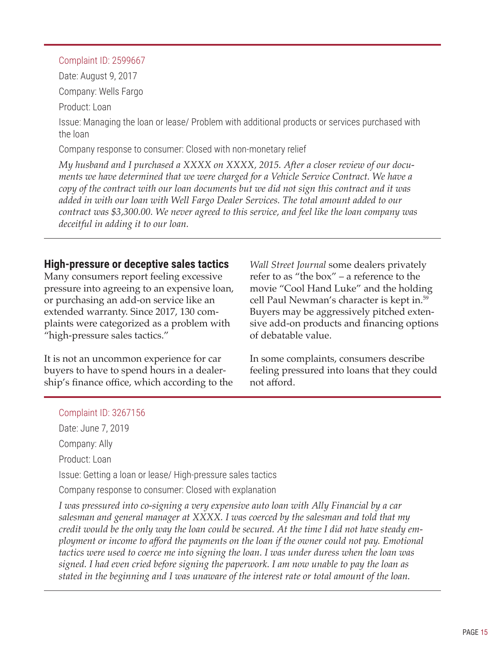#### <span id="page-18-0"></span>Complaint ID: 2599667

Date: August 9, 2017

Company: Wells Fargo

Product: Loan

Issue: Managing the loan or lease/ Problem with additional products or services purchased with the loan

Company response to consumer: Closed with non-monetary relief

*My husband and I purchased a XXXX on XXXX, 2015. After a closer review of our documents we have determined that we were charged for a Vehicle Service Contract. We have a copy of the contract with our loan documents but we did not sign this contract and it was added in with our loan with Well Fargo Dealer Services. The total amount added to our contract was \$3,300.00. We never agreed to this service, and feel like the loan company was deceitful in adding it to our loan.*

## **High-pressure or deceptive sales tactics**

Many consumers report feeling excessive pressure into agreeing to an expensive loan, or purchasing an add-on service like an extended warranty. Since 2017, 130 complaints were categorized as a problem with "high-pressure sales tactics."

It is not an uncommon experience for car buyers to have to spend hours in a dealership's finance office, which according to the *Wall Street Journal* some dealers privately refer to as "the box" – a reference to the movie "Cool Hand Luke" and the holding cell Paul Newman's character is kept in.<sup>59</sup> Buyers may be aggressively pitched extensive add-on products and financing options of debatable value.

In some complaints, consumers describe feeling pressured into loans that they could not afford.

#### Complaint ID: 3267156

Date: June 7, 2019 Company: Ally Product: Loan Issue: Getting a loan or lease/ High-pressure sales tactics Company response to consumer: Closed with explanation

*I was pressured into co-signing a very expensive auto loan with Ally Financial by a car salesman and general manager at XXXX. I was coerced by the salesman and told that my* credit would be the only way the loan could be secured. At the time I did not have steady em*ployment or income to afford the payments on the loan if the owner could not pay. Emotional tactics were used to coerce me into signing the loan. I was under duress when the loan was signed. I had even cried before signing the paperwork. I am now unable to pay the loan as stated in the beginning and I was unaware of the interest rate or total amount of the loan.*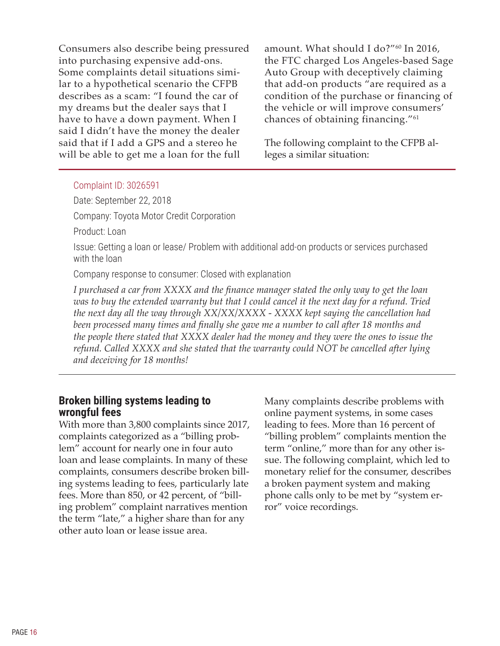<span id="page-19-0"></span>Consumers also describe being pressured into purchasing expensive add-ons. Some complaints detail situations similar to a hypothetical scenario the CFPB describes as a scam: "I found the car of my dreams but the dealer says that I have to have a down payment. When I said I didn't have the money the dealer said that if I add a GPS and a stereo he will be able to get me a loan for the full

amount. What should I do?"60 In 2016, the FTC charged Los Angeles-based Sage Auto Group with deceptively claiming that add-on products "are required as a condition of the purchase or financing of the vehicle or will improve consumers' chances of obtaining financing."61

The following complaint to the CFPB alleges a similar situation:

#### Complaint ID: 3026591

Date: September 22, 2018

Company: Toyota Motor Credit Corporation

Product: Loan

Issue: Getting a loan or lease/ Problem with additional add-on products or services purchased with the loan

Company response to consumer: Closed with explanation

*I purchased a car from XXXX and the finance manager stated the only way to get the loan* was to buy the extended warranty but that I could cancel it the next day for a refund. Tried *the next day all the way through XX/XX/XXXX - XXXX kept saying the cancellation had been processed many times and finally she gave me a number to call after 18 months and the people there stated that XXXX dealer had the money and they were the ones to issue the refund. Called XXXX and she stated that the warranty could NOT be cancelled after lying and deceiving for 18 months!*

#### **Broken billing systems leading to wrongful fees**

With more than 3,800 complaints since 2017, complaints categorized as a "billing problem" account for nearly one in four auto loan and lease complaints. In many of these complaints, consumers describe broken billing systems leading to fees, particularly late fees. More than 850, or 42 percent, of "billing problem" complaint narratives mention the term "late," a higher share than for any other auto loan or lease issue area.

Many complaints describe problems with online payment systems, in some cases leading to fees. More than 16 percent of "billing problem" complaints mention the term "online," more than for any other issue. The following complaint, which led to monetary relief for the consumer, describes a broken payment system and making phone calls only to be met by "system error" voice recordings.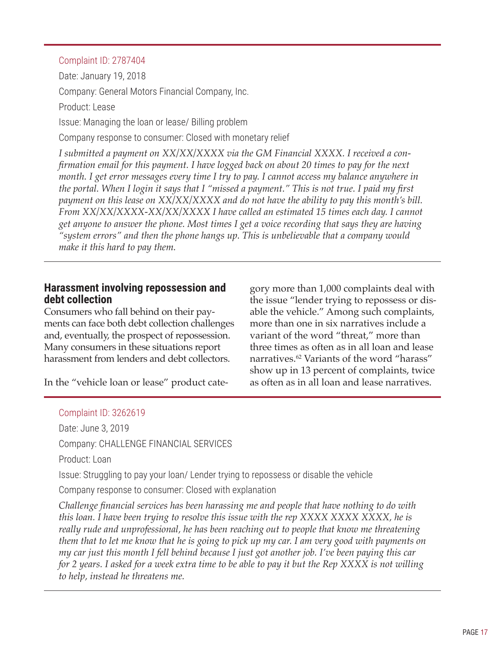#### <span id="page-20-0"></span>Complaint ID: 2787404

Date: January 19, 2018 Company: General Motors Financial Company, Inc. Product: Lease Issue: Managing the loan or lease/ Billing problem Company response to consumer: Closed with monetary relief *I submitted a payment on XX/XX/XXXX via the GM Financial XXXX. I received a confirmation email for this payment. I have logged back on about 20 times to pay for the next month. I get error messages every time I try to pay. I cannot access my balance anywhere in* the portal. When I login it says that I "missed a payment." This is not true. I paid my first

*payment on this lease on XX/XX/XXXX and do not have the ability to pay this month's bill. From XX/XX/XXXX-XX/XX/XXXX I have called an estimated 15 times each day. I cannot get anyone to answer the phone. Most times I get a voice recording that says they are having "system errors" and then the phone hangs up. This is unbelievable that a company would make it this hard to pay them.*

#### **Harassment involving repossession and debt collection**

Consumers who fall behind on their payments can face both debt collection challenges and, eventually, the prospect of repossession. Many consumers in these situations report harassment from lenders and debt collectors.

In the "vehicle loan or lease" product cate-

gory more than 1,000 complaints deal with the issue "lender trying to repossess or disable the vehicle." Among such complaints, more than one in six narratives include a variant of the word "threat," more than three times as often as in all loan and lease narratives.<sup>62</sup> Variants of the word "harass" show up in 13 percent of complaints, twice as often as in all loan and lease narratives.

#### Complaint ID: 3262619

Date: June 3, 2019 Company: CHALLENGE FINANCIAL SERVICES Product: Loan Issue: Struggling to pay your loan/ Lender trying to repossess or disable the vehicle Company response to consumer: Closed with explanation *Challenge financial services has been harassing me and people that have nothing to do with this loan. I have been trying to resolve this issue with the rep XXXX XXXX XXXX, he is really rude and unprofessional, he has been reaching out to people that know me threatening* them that to let me know that he is going to pick up my car. I am very good with payments on

my car just this month I fell behind because I just got another job. I've been paying this car for 2 years. I asked for a week extra time to be able to pay it but the Rep XXXX is not willing *to help, instead he threatens me.*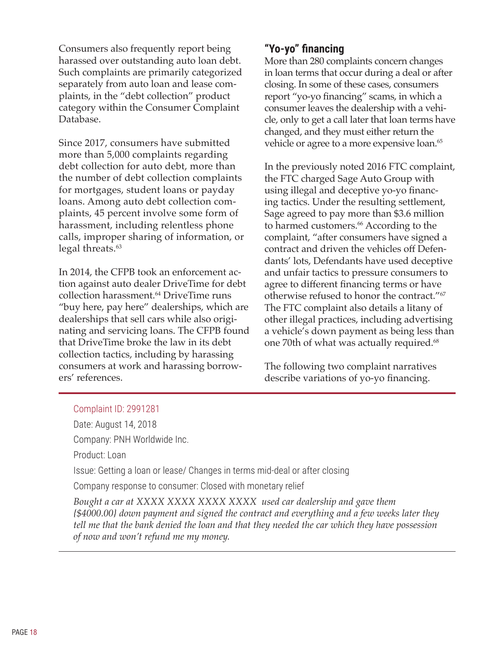<span id="page-21-0"></span>Consumers also frequently report being harassed over outstanding auto loan debt. Such complaints are primarily categorized separately from auto loan and lease complaints, in the "debt collection" product category within the Consumer Complaint Database.

Since 2017, consumers have submitted more than 5,000 complaints regarding debt collection for auto debt, more than the number of debt collection complaints for mortgages, student loans or payday loans. Among auto debt collection complaints, 45 percent involve some form of harassment, including relentless phone calls, improper sharing of information, or legal threats.<sup>63</sup>

In 2014, the CFPB took an enforcement action against auto dealer DriveTime for debt collection harassment.<sup>64</sup> DriveTime runs "buy here, pay here" dealerships, which are dealerships that sell cars while also originating and servicing loans. The CFPB found that DriveTime broke the law in its debt collection tactics, including by harassing consumers at work and harassing borrowers' references.

## **"Yo-yo" financing**

More than 280 complaints concern changes in loan terms that occur during a deal or after closing. In some of these cases, consumers report "yo-yo financing" scams, in which a consumer leaves the dealership with a vehicle, only to get a call later that loan terms have changed, and they must either return the vehicle or agree to a more expensive loan.<sup>65</sup>

In the previously noted 2016 FTC complaint, the FTC charged Sage Auto Group with using illegal and deceptive yo-yo financing tactics. Under the resulting settlement, Sage agreed to pay more than \$3.6 million to harmed customers.<sup>66</sup> According to the complaint, "after consumers have signed a contract and driven the vehicles off Defendants' lots, Defendants have used deceptive and unfair tactics to pressure consumers to agree to different financing terms or have otherwise refused to honor the contract."67 The FTC complaint also details a litany of other illegal practices, including advertising a vehicle's down payment as being less than one 70th of what was actually required.<sup>68</sup>

The following two complaint narratives describe variations of yo-yo financing.

#### Complaint ID: 2991281

Date: August 14, 2018 Company: PNH Worldwide Inc.

Product: Loan

Issue: Getting a loan or lease/ Changes in terms mid-deal or after closing

Company response to consumer: Closed with monetary relief

*Bought a car at XXXX XXXX XXXX XXXX used car dealership and gave them {\$4000.00} down payment and signed the contract and everything and a few weeks later they tell me that the bank denied the loan and that they needed the car which they have possession of now and won't refund me my money.*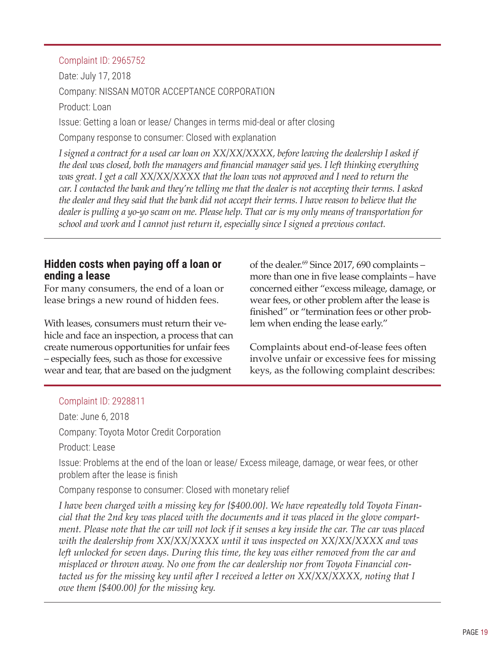#### <span id="page-22-0"></span>Complaint ID: 2965752

Date: July 17, 2018 Company: NISSAN MOTOR ACCEPTANCE CORPORATION Product: Loan Issue: Getting a loan or lease/ Changes in terms mid-deal or after closing

Company response to consumer: Closed with explanation

*I signed a contract for a used car loan on XX/XX/XXXX, before leaving the dealership I asked if the deal was closed, both the managers and financial manager said yes. I left thinking everything was great. I get a call XX/XX/XXXX that the loan was not approved and I need to return the* car. I contacted the bank and they're telling me that the dealer is not accepting their terms. I asked the dealer and they said that the bank did not accept their terms. I have reason to believe that the dealer is pulling a yo-yo scam on me. Please help. That car is my only means of transportation for *school and work and I cannot just return it, especially since I signed a previous contact.*

### **Hidden costs when paying off a loan or ending a lease**

For many consumers, the end of a loan or lease brings a new round of hidden fees.

With leases, consumers must return their vehicle and face an inspection, a process that can create numerous opportunities for unfair fees – especially fees, such as those for excessive wear and tear, that are based on the judgment

of the dealer.<sup>69</sup> Since 2017, 690 complaints – more than one in five lease complaints – have concerned either "excess mileage, damage, or wear fees, or other problem after the lease is finished" or "termination fees or other problem when ending the lease early."

Complaints about end-of-lease fees often involve unfair or excessive fees for missing keys, as the following complaint describes:

#### Complaint ID: 2928811

Date: June 6, 2018

Company: Toyota Motor Credit Corporation

Product: Lease

Issue: Problems at the end of the loan or lease/ Excess mileage, damage, or wear fees, or other problem after the lease is finish

Company response to consumer: Closed with monetary relief

*I have been charged with a missing key for {\$400.00}. We have repeatedly told Toyota Financial that the 2nd key was placed with the documents and it was placed in the glove compart*ment. Please note that the car will not lock if it senses a key inside the car. The car was placed *with the dealership from XX/XX/XXXX until it was inspected on XX/XX/XXXX and was left unlocked for seven days. During this time, the key was either removed from the car and misplaced or thrown away. No one from the car dealership nor from Toyota Financial contacted us for the missing key until after I received a letter on XX/XX/XXXX, noting that I owe them {\$400.00} for the missing key.*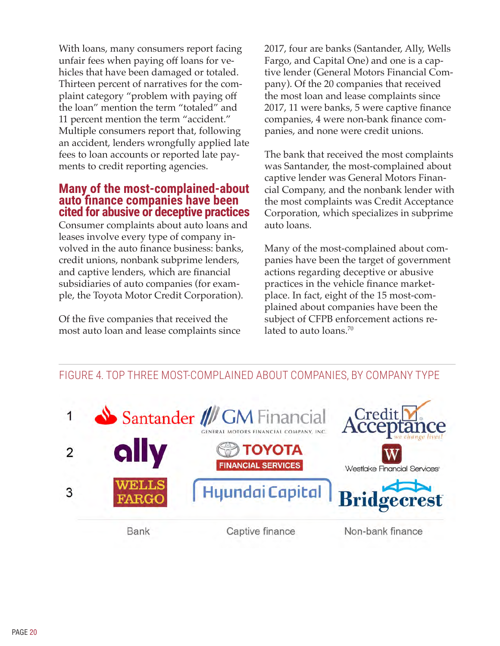<span id="page-23-0"></span>With loans, many consumers report facing unfair fees when paying off loans for vehicles that have been damaged or totaled. Thirteen percent of narratives for the complaint category "problem with paying off the loan" mention the term "totaled" and 11 percent mention the term "accident." Multiple consumers report that, following an accident, lenders wrongfully applied late fees to loan accounts or reported late payments to credit reporting agencies.

#### **Many of the most-complained-about auto finance companies have been cited for abusive or deceptive practices**

Consumer complaints about auto loans and leases involve every type of company involved in the auto finance business: banks, credit unions, nonbank subprime lenders, and captive lenders, which are financial subsidiaries of auto companies (for example, the Toyota Motor Credit Corporation).

Of the five companies that received the most auto loan and lease complaints since 2017, four are banks (Santander, Ally, Wells Fargo, and Capital One) and one is a captive lender (General Motors Financial Company). Of the 20 companies that received the most loan and lease complaints since 2017, 11 were banks, 5 were captive finance companies, 4 were non-bank finance companies, and none were credit unions.

The bank that received the most complaints was Santander, the most-complained about captive lender was General Motors Financial Company, and the nonbank lender with the most complaints was Credit Acceptance Corporation, which specializes in subprime auto loans.

Many of the most-complained about companies have been the target of government actions regarding deceptive or abusive practices in the vehicle finance marketplace. In fact, eight of the 15 most-complained about companies have been the subject of CFPB enforcement actions related to auto loans.<sup>70</sup>



## FIGURE 4. TOP THREE MOST-COMPLAINED ABOUT COMPANIES, BY COMPANY TYPE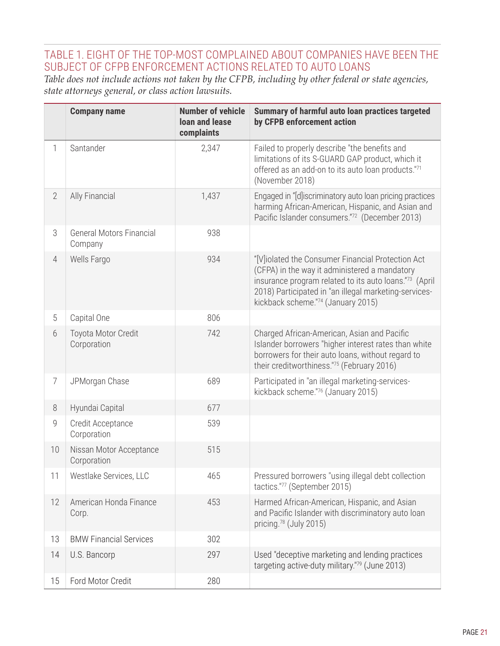## TABLE 1. EIGHT OF THE TOP-MOST COMPLAINED ABOUT COMPANIES HAVE BEEN THE SUBJECT OF CFPB ENFORCEMENT ACTIONS RELATED TO AUTO LOANS

*Table does not include actions not taken by the CFPB, including by other federal or state agencies, state attorneys general, or class action lawsuits.*

|                | <b>Company name</b>                        | <b>Number of vehicle</b><br><b>loan and lease</b><br>complaints | Summary of harmful auto loan practices targeted<br>by CFPB enforcement action                                                                                                                                                                               |
|----------------|--------------------------------------------|-----------------------------------------------------------------|-------------------------------------------------------------------------------------------------------------------------------------------------------------------------------------------------------------------------------------------------------------|
| 1              | Santander                                  | 2,347                                                           | Failed to properly describe "the benefits and<br>limitations of its S-GUARD GAP product, which it<br>offered as an add-on to its auto loan products."71<br>(November 2018)                                                                                  |
| $\overline{2}$ | Ally Financial                             | 1,437                                                           | Engaged in "[d]iscriminatory auto loan pricing practices<br>harming African-American, Hispanic, and Asian and<br>Pacific Islander consumers."72 (December 2013)                                                                                             |
| 3              | <b>General Motors Financial</b><br>Company | 938                                                             |                                                                                                                                                                                                                                                             |
| $\overline{4}$ | Wells Fargo                                | 934                                                             | "[V]iolated the Consumer Financial Protection Act<br>(CFPA) in the way it administered a mandatory<br>insurance program related to its auto loans."73 (April<br>2018) Participated in "an illegal marketing-services-<br>kickback scheme."74 (January 2015) |
| 5              | Capital One                                | 806                                                             |                                                                                                                                                                                                                                                             |
| 6              | Toyota Motor Credit<br>Corporation         | 742                                                             | Charged African-American, Asian and Pacific<br>Islander borrowers "higher interest rates than white<br>borrowers for their auto loans, without regard to<br>their creditworthiness."75 (February 2016)                                                      |
| $\overline{7}$ | JPMorgan Chase                             | 689                                                             | Participated in "an illegal marketing-services-<br>kickback scheme."76 (January 2015)                                                                                                                                                                       |
| 8              | Hyundai Capital                            | 677                                                             |                                                                                                                                                                                                                                                             |
| 9              | Credit Acceptance<br>Corporation           | 539                                                             |                                                                                                                                                                                                                                                             |
| 10             | Nissan Motor Acceptance<br>Corporation     | 515                                                             |                                                                                                                                                                                                                                                             |
| 11             | Westlake Services, LLC                     | 465                                                             | Pressured borrowers "using illegal debt collection<br>tactics."77 (September 2015)                                                                                                                                                                          |
| 12             | American Honda Finance<br>Corp.            | 453                                                             | Harmed African-American, Hispanic, and Asian<br>and Pacific Islander with discriminatory auto loan<br>pricing. <sup>78</sup> (July 2015)                                                                                                                    |
| 13             | <b>BMW Financial Services</b>              | 302                                                             |                                                                                                                                                                                                                                                             |
| 14             | U.S. Bancorp                               | 297                                                             | Used "deceptive marketing and lending practices<br>targeting active-duty military."79 (June 2013)                                                                                                                                                           |
| 15             | Ford Motor Credit                          | 280                                                             |                                                                                                                                                                                                                                                             |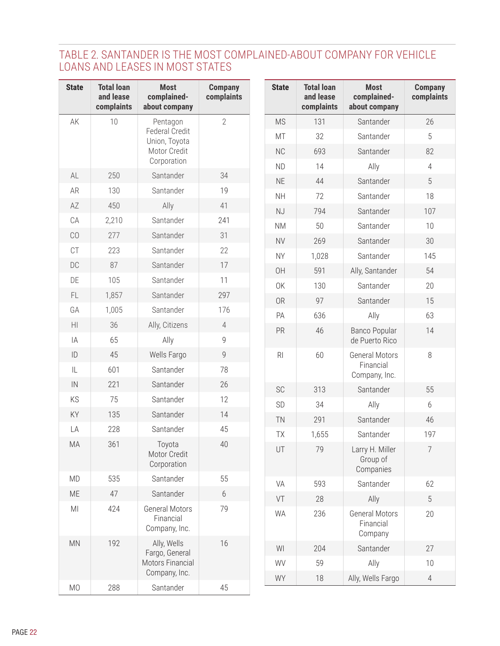## TABLE 2. SANTANDER IS THE MOST COMPLAINED-ABOUT COMPANY FOR VEHICLE LOANS AND LEASES IN MOST STATES

| <b>State</b>           | <b>Total loan</b><br>and lease<br>complaints | <b>Most</b><br>complained-<br>about company                        | <b>Company</b><br>complaints | <b>State</b>   | <b>Total loan</b><br>and lease<br>complaints | <b>Most</b><br>complained-<br>about company   | <b>Company</b><br>complaints |
|------------------------|----------------------------------------------|--------------------------------------------------------------------|------------------------------|----------------|----------------------------------------------|-----------------------------------------------|------------------------------|
| AK                     | 10                                           | Pentagon<br><b>Federal Credit</b><br>Union, Toyota<br>Motor Credit | $\sqrt{2}$                   | <b>MS</b>      | 131                                          | Santander                                     | 26                           |
|                        |                                              |                                                                    |                              | MT             | 32                                           | Santander                                     | 5                            |
|                        |                                              |                                                                    |                              | <b>NC</b>      | 693                                          | Santander                                     | 82                           |
|                        |                                              | Corporation                                                        |                              | <b>ND</b>      | 14                                           | Ally                                          | $\overline{4}$               |
| AL                     | 250                                          | Santander                                                          | 34                           | <b>NE</b>      | 44                                           | Santander                                     | 5                            |
| AR                     | 130                                          | Santander                                                          | 19                           | <b>NH</b>      | 72                                           | Santander                                     | 18                           |
| AZ                     | 450                                          | Ally                                                               | 41                           | NJ             | 794                                          | Santander                                     | 107                          |
| ${\sf CA}$             | 2,210                                        | Santander                                                          | 241                          | <b>NM</b>      | 50                                           | Santander                                     | 10                           |
| CO                     | 277                                          | Santander                                                          | 31                           | <b>NV</b>      | 269                                          | Santander                                     | 30                           |
| CT                     | 223                                          | Santander                                                          | 22                           | <b>NY</b>      | 1,028                                        | Santander                                     | 145                          |
| DC                     | 87                                           | Santander                                                          | 17                           | 0H             | 591                                          | Ally, Santander                               | 54                           |
| DE                     | 105                                          | Santander                                                          | 11                           | <b>OK</b>      | 130                                          | Santander                                     | 20                           |
| FL.                    | 1,857                                        | Santander                                                          | 297                          | <b>OR</b>      | 97                                           | Santander                                     | 15                           |
| GA                     | 1,005                                        | Santander                                                          | 176                          | PA             | 636                                          | Ally                                          | 63                           |
| $\mathsf{H}\mathsf{I}$ | 36                                           | Ally, Citizens                                                     | $\overline{4}$               | PR             | 46                                           | Banco Popular                                 | 14                           |
| IA                     | 65                                           | Ally                                                               | $\mathsf g$                  |                |                                              | de Puerto Rico                                |                              |
| ID                     | 45                                           | Wells Fargo                                                        | $\overline{9}$               | R <sub>l</sub> | 60                                           | <b>General Motors</b>                         | $\, 8$                       |
| IL                     | 601                                          | Santander                                                          | 78                           |                |                                              | Financial<br>Company, Inc.                    |                              |
| IN                     | 221                                          | Santander                                                          | 26                           | SC             | 313                                          | Santander                                     | 55                           |
| KS                     | 75                                           | Santander                                                          | 12                           | SD             | 34                                           | Ally                                          | 6                            |
| KY                     | 135                                          | Santander                                                          | 14                           | <b>TN</b>      | 291                                          | Santander                                     | 46                           |
| LA                     | 228                                          | Santander                                                          | 45                           | TX             | 1,655                                        | Santander                                     | 197                          |
| MA                     | 361                                          | Toyota<br>Motor Credit<br>Corporation                              | 40                           | UT             | 79                                           | Larry H. Miller<br>Group of<br>Companies      |                              |
| <b>MD</b>              | 535                                          | Santander                                                          | 55                           | VA             | 593                                          | Santander                                     | 62                           |
| ME                     | 47                                           | Santander                                                          | $6\,$                        | VT             | 28                                           | Ally                                          | 5                            |
| MI                     | 424                                          | <b>General Motors</b><br>Financial<br>Company, Inc.                | 79                           | WA             | 236                                          | <b>General Motors</b><br>Financial<br>Company | 20                           |
| MN                     | 192                                          | Ally, Wells<br>Fargo, General<br>Motors Financial<br>Company, Inc. | 16                           | WI             | 204                                          | Santander                                     | 27                           |
|                        |                                              |                                                                    |                              | WV             | 59                                           | Ally                                          | 10                           |
|                        |                                              |                                                                    |                              | WY             | 18                                           | Ally, Wells Fargo                             | $\overline{4}$               |
| M <sub>O</sub>         | 288                                          | Santander                                                          | 45                           |                |                                              |                                               |                              |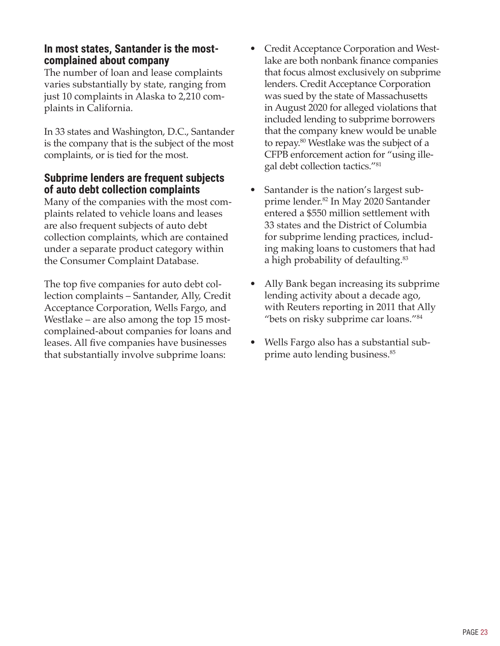### <span id="page-26-0"></span>**In most states, Santander is the mostcomplained about company**

The number of loan and lease complaints varies substantially by state, ranging from just 10 complaints in Alaska to 2,210 complaints in California.

In 33 states and Washington, D.C., Santander is the company that is the subject of the most complaints, or is tied for the most.

### **Subprime lenders are frequent subjects of auto debt collection complaints**

Many of the companies with the most complaints related to vehicle loans and leases are also frequent subjects of auto debt collection complaints, which are contained under a separate product category within the Consumer Complaint Database.

The top five companies for auto debt collection complaints – Santander, Ally, Credit Acceptance Corporation, Wells Fargo, and Westlake – are also among the top 15 mostcomplained-about companies for loans and leases. All five companies have businesses that substantially involve subprime loans:

- Credit Acceptance Corporation and Westlake are both nonbank finance companies that focus almost exclusively on subprime lenders. Credit Acceptance Corporation was sued by the state of Massachusetts in August 2020 for alleged violations that included lending to subprime borrowers that the company knew would be unable to repay.<sup>80</sup> Westlake was the subject of a CFPB enforcement action for "using illegal debt collection tactics."81
- Santander is the nation's largest subprime lender.82 In May 2020 Santander entered a \$550 million settlement with 33 states and the District of Columbia for subprime lending practices, including making loans to customers that had a high probability of defaulting.<sup>83</sup>
- Ally Bank began increasing its subprime lending activity about a decade ago, with Reuters reporting in 2011 that Ally "bets on risky subprime car loans."<sup>84</sup>
- Wells Fargo also has a substantial subprime auto lending business.<sup>85</sup>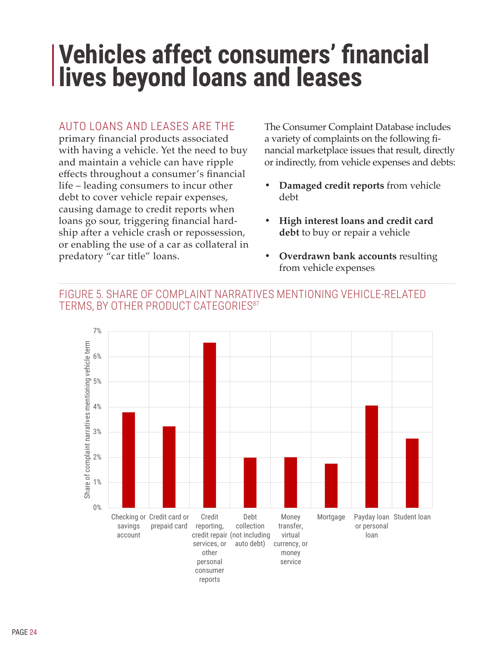## <span id="page-27-0"></span>**Vehicles affect consumers' financial lives beyond loans and leases**

## AUTO LOANS AND LEASES ARE THE

primary financial products associated with having a vehicle. Yet the need to buy and maintain a vehicle can have ripple effects throughout a consumer's financial life – leading consumers to incur other debt to cover vehicle repair expenses, causing damage to credit reports when loans go sour, triggering financial hardship after a vehicle crash or repossession, or enabling the use of a car as collateral in predatory "car title" loans.

The Consumer Complaint Database includes a variety of complaints on the following financial marketplace issues that result, directly or indirectly, from vehicle expenses and debts:

- **• Damaged credit reports** from vehicle debt
- **• High interest loans and credit card debt** to buy or repair a vehicle
- **• Overdrawn bank accounts** resulting from vehicle expenses

### FIGURE 5. SHARE OF COMPLAINT NARRATIVES MENTIONING VEHICLE-RELATED TERMS, BY OTHER PRODUCT CATEGORIES<sup>87</sup>

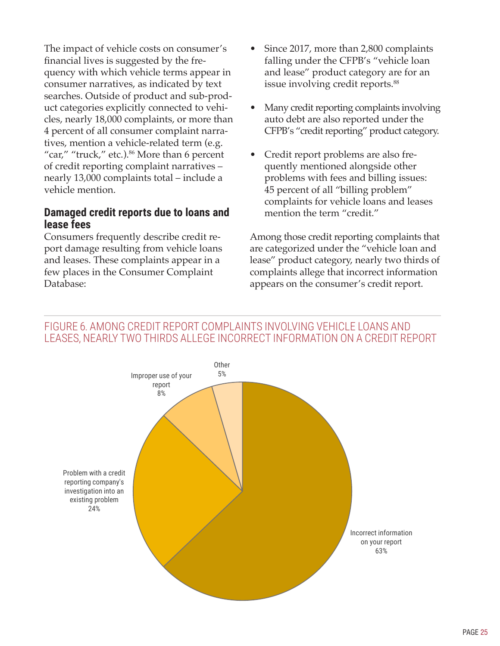<span id="page-28-0"></span>The impact of vehicle costs on consumer's financial lives is suggested by the frequency with which vehicle terms appear in consumer narratives, as indicated by text searches. Outside of product and sub-product categories explicitly connected to vehicles, nearly 18,000 complaints, or more than 4 percent of all consumer complaint narratives, mention a vehicle-related term (e.g. "car," "truck," etc.).<sup>86</sup> More than 6 percent of credit reporting complaint narratives – nearly 13,000 complaints total – include a vehicle mention.

#### **Damaged credit reports due to loans and lease fees**

Consumers frequently describe credit report damage resulting from vehicle loans and leases. These complaints appear in a few places in the Consumer Complaint Database:

- Since 2017, more than 2,800 complaints falling under the CFPB's "vehicle loan and lease" product category are for an issue involving credit reports.<sup>88</sup>
- Many credit reporting complaints involving auto debt are also reported under the CFPB's "credit reporting" product category.
- Credit report problems are also frequently mentioned alongside other problems with fees and billing issues: 45 percent of all "billing problem" complaints for vehicle loans and leases mention the term "credit."

Among those credit reporting complaints that are categorized under the "vehicle loan and lease" product category, nearly two thirds of complaints allege that incorrect information appears on the consumer's credit report.

#### FIGURE 6. AMONG CREDIT REPORT COMPLAINTS INVOLVING VEHICLE LOANS AND LEASES, NEARLY TWO THIRDS ALLEGE INCORRECT INFORMATION ON A CREDIT REPORT

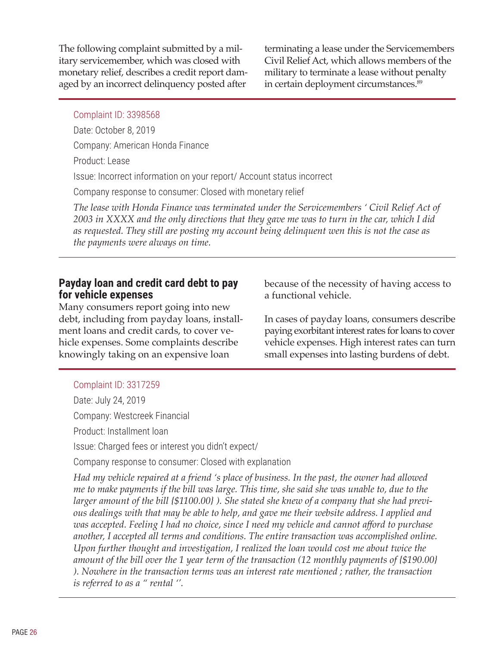<span id="page-29-0"></span>The following complaint submitted by a military servicemember, which was closed with monetary relief, describes a credit report damaged by an incorrect delinquency posted after

terminating a lease under the Servicemembers Civil Relief Act, which allows members of the military to terminate a lease without penalty in certain deployment circumstances.<sup>89</sup>

#### Complaint ID: 3398568

Date: October 8, 2019

Company: American Honda Finance

Product: Lease

Issue: Incorrect information on your report/ Account status incorrect

Company response to consumer: Closed with monetary relief

*The lease with Honda Finance was terminated under the Servicemembers ' Civil Relief Act of* 2003 in XXXX and the only directions that they gave me was to turn in the car, which I did *as requested. They still are posting my account being delinquent wen this is not the case as the payments were always on time.*

#### **Payday loan and credit card debt to pay for vehicle expenses**

Many consumers report going into new debt, including from payday loans, installment loans and credit cards, to cover vehicle expenses. Some complaints describe knowingly taking on an expensive loan

because of the necessity of having access to a functional vehicle.

In cases of payday loans, consumers describe paying exorbitant interest rates for loans to cover vehicle expenses. High interest rates can turn small expenses into lasting burdens of debt.

#### Complaint ID: 3317259

Date: July 24, 2019

Company: Westcreek Financial

Product: Installment loan

Issue: Charged fees or interest you didn't expect/

Company response to consumer: Closed with explanation

*Had my vehicle repaired at a friend 's place of business. In the past, the owner had allowed* me to make payments if the bill was large. This time, she said she was unable to, due to the *larger amount of the bill {\$1100.00} ). She stated she knew of a company that she had previous dealings with that may be able to help, and gave me their website address. I applied and was accepted. Feeling I had no choice, since I need my vehicle and cannot afford to purchase another, I accepted all terms and conditions. The entire transaction was accomplished online. Upon further thought and investigation, I realized the loan would cost me about twice the amount of the bill over the 1 year term of the transaction (12 monthly payments of {\$190.00} ). Nowhere in the transaction terms was an interest rate mentioned ; rather, the transaction is referred to as a " rental ''.*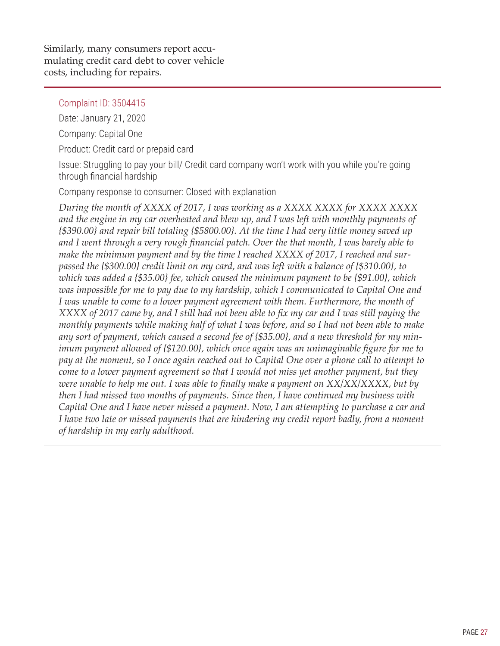Similarly, many consumers report accumulating credit card debt to cover vehicle costs, including for repairs.

Complaint ID: 3504415

Date: January 21, 2020

Company: Capital One

Product: Credit card or prepaid card

Issue: Struggling to pay your bill/ Credit card company won't work with you while you're going through financial hardship

Company response to consumer: Closed with explanation

*During the month of XXXX of 2017, I was working as a XXXX XXXX for XXXX XXXX and the engine in my car overheated and blew up, and I was left with monthly payments of {\$390.00} and repair bill totaling {\$5800.00}. At the time I had very little money saved up and I went through a very rough financial patch. Over the that month, I was barely able to make the minimum payment and by the time I reached XXXX of 2017, I reached and surpassed the {\$300.00} credit limit on my card, and was left with a balance of {\$310.00}, to which was added a {\$35.00} fee, which caused the minimum payment to be {\$91.00}, which was impossible for me to pay due to my hardship, which I communicated to Capital One and I was unable to come to a lower payment agreement with them. Furthermore, the month of* XXXX of 2017 came by, and I still had not been able to fix my car and I was still paying the *monthly payments while making half of what I was before, and so I had not been able to make any sort of payment, which caused a second fee of {\$35.00}, and a new threshold for my minimum payment allowed of {\$120.00}, which once again was an unimaginable figure for me to* pay at the moment, so I once again reached out to Capital One over a phone call to attempt to *come to a lower payment agreement so that I would not miss yet another payment, but they were unable to help me out. I was able to finally make a payment on XX/XX/XXXX, but by then I had missed two months of payments. Since then, I have continued my business with Capital One and I have never missed a payment. Now, I am attempting to purchase a car and I have two late or missed payments that are hindering my credit report badly, from a moment of hardship in my early adulthood.*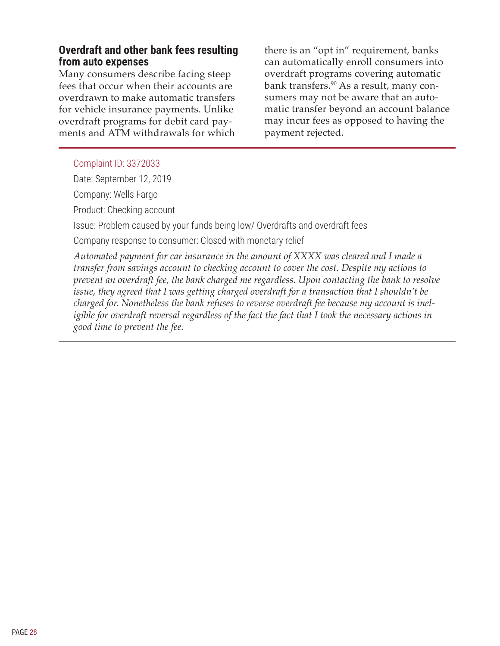#### <span id="page-31-0"></span>**Overdraft and other bank fees resulting from auto expenses**

Many consumers describe facing steep fees that occur when their accounts are overdrawn to make automatic transfers for vehicle insurance payments. Unlike overdraft programs for debit card payments and ATM withdrawals for which there is an "opt in" requirement, banks can automatically enroll consumers into overdraft programs covering automatic bank transfers.<sup>90</sup> As a result, many consumers may not be aware that an automatic transfer beyond an account balance may incur fees as opposed to having the payment rejected.

#### Complaint ID: 3372033

Date: September 12, 2019

Company: Wells Fargo

Product: Checking account

Issue: Problem caused by your funds being low/ Overdrafts and overdraft fees

Company response to consumer: Closed with monetary relief

*Automated payment for car insurance in the amount of XXXX was cleared and I made a transfer from savings account to checking account to cover the cost. Despite my actions to prevent an overdraft fee, the bank charged me regardless. Upon contacting the bank to resolve issue, they agreed that I was getting charged overdraft for a transaction that I shouldn't be charged for. Nonetheless the bank refuses to reverse overdraft fee because my account is ineligible for overdraft reversal regardless of the fact the fact that I took the necessary actions in good time to prevent the fee.*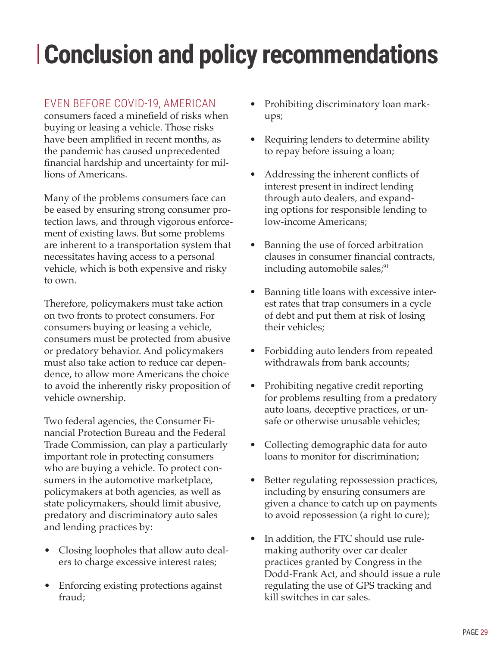# <span id="page-32-0"></span>**Conclusion and policy recommendations**

## EVEN BEFORE COVID-19, AMERICAN

consumers faced a minefield of risks when buying or leasing a vehicle. Those risks have been amplified in recent months, as the pandemic has caused unprecedented financial hardship and uncertainty for millions of Americans.

Many of the problems consumers face can be eased by ensuring strong consumer protection laws, and through vigorous enforcement of existing laws. But some problems are inherent to a transportation system that necessitates having access to a personal vehicle, which is both expensive and risky to own.

Therefore, policymakers must take action on two fronts to protect consumers. For consumers buying or leasing a vehicle, consumers must be protected from abusive or predatory behavior. And policymakers must also take action to reduce car dependence, to allow more Americans the choice to avoid the inherently risky proposition of vehicle ownership.

Two federal agencies, the Consumer Financial Protection Bureau and the Federal Trade Commission, can play a particularly important role in protecting consumers who are buying a vehicle. To protect consumers in the automotive marketplace, policymakers at both agencies, as well as state policymakers, should limit abusive, predatory and discriminatory auto sales and lending practices by:

- Closing loopholes that allow auto dealers to charge excessive interest rates;
- Enforcing existing protections against fraud;
- Prohibiting discriminatory loan markups;
- Requiring lenders to determine ability to repay before issuing a loan;
- Addressing the inherent conflicts of interest present in indirect lending through auto dealers, and expanding options for responsible lending to low-income Americans;
- Banning the use of forced arbitration clauses in consumer financial contracts, including automobile sales;<sup>91</sup>
- Banning title loans with excessive interest rates that trap consumers in a cycle of debt and put them at risk of losing their vehicles;
- Forbidding auto lenders from repeated withdrawals from bank accounts;
- Prohibiting negative credit reporting for problems resulting from a predatory auto loans, deceptive practices, or unsafe or otherwise unusable vehicles;
- Collecting demographic data for auto loans to monitor for discrimination;
- Better regulating repossession practices, including by ensuring consumers are given a chance to catch up on payments to avoid repossession (a right to cure);
- In addition, the FTC should use rulemaking authority over car dealer practices granted by Congress in the Dodd-Frank Act, and should issue a rule regulating the use of GPS tracking and kill switches in car sales.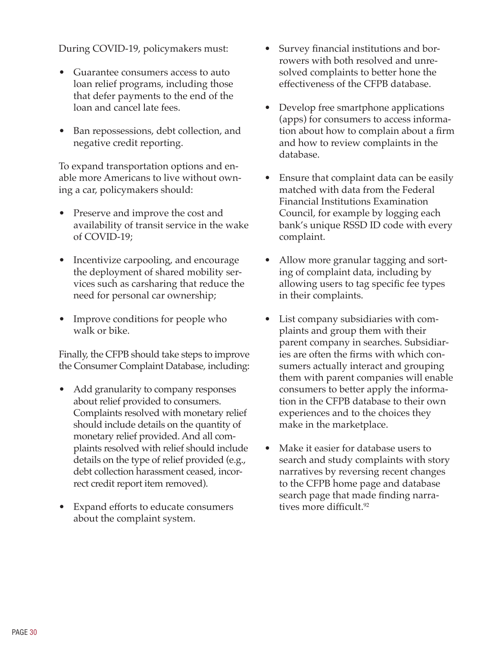During COVID-19, policymakers must:

- Guarantee consumers access to auto loan relief programs, including those that defer payments to the end of the loan and cancel late fees.
- Ban repossessions, debt collection, and negative credit reporting.

To expand transportation options and enable more Americans to live without owning a car, policymakers should:

- Preserve and improve the cost and availability of transit service in the wake of COVID-19;
- Incentivize carpooling, and encourage the deployment of shared mobility services such as carsharing that reduce the need for personal car ownership;
- Improve conditions for people who walk or bike.

Finally, the CFPB should take steps to improve the Consumer Complaint Database, including:

- Add granularity to company responses about relief provided to consumers. Complaints resolved with monetary relief should include details on the quantity of monetary relief provided. And all complaints resolved with relief should include details on the type of relief provided (e.g., debt collection harassment ceased, incorrect credit report item removed).
- Expand efforts to educate consumers about the complaint system.
- Survey financial institutions and borrowers with both resolved and unresolved complaints to better hone the effectiveness of the CFPB database.
- Develop free smartphone applications (apps) for consumers to access information about how to complain about a firm and how to review complaints in the database.
- Ensure that complaint data can be easily matched with data from the Federal Financial Institutions Examination Council, for example by logging each bank's unique RSSD ID code with every complaint.
- Allow more granular tagging and sorting of complaint data, including by allowing users to tag specific fee types in their complaints.
- List company subsidiaries with complaints and group them with their parent company in searches. Subsidiaries are often the firms with which consumers actually interact and grouping them with parent companies will enable consumers to better apply the information in the CFPB database to their own experiences and to the choices they make in the marketplace.
- Make it easier for database users to search and study complaints with story narratives by reversing recent changes to the CFPB home page and database search page that made finding narratives more difficult.<sup>92</sup>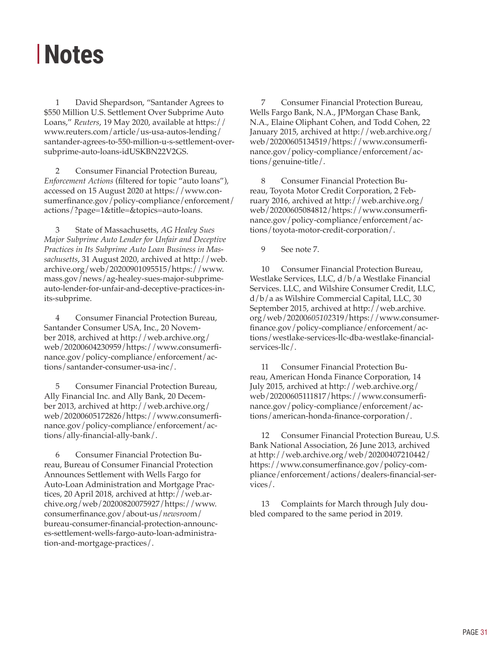## <span id="page-34-0"></span>**Notes**

1 David Shepardson, "Santander Agrees to \$550 Million U.S. Settlement Over Subprime Auto Loans," *Reuters*, 19 May 2020, available at [https://](https://www.reuters.com/article/us-usa-autos-lending/santander-agrees-to-550-million-u-s-settlement-over-subprime-auto-loans-idUSKBN22V2GS) [www.reuters.com/article/us-usa-autos-lending/](https://www.reuters.com/article/us-usa-autos-lending/santander-agrees-to-550-million-u-s-settlement-over-subprime-auto-loans-idUSKBN22V2GS) [santander-agrees-to-550-million-u-s-settlement-over](https://www.reuters.com/article/us-usa-autos-lending/santander-agrees-to-550-million-u-s-settlement-over-subprime-auto-loans-idUSKBN22V2GS)[subprime-auto-loans-idUSKBN22V2GS](https://www.reuters.com/article/us-usa-autos-lending/santander-agrees-to-550-million-u-s-settlement-over-subprime-auto-loans-idUSKBN22V2GS).

2 Consumer Financial Protection Bureau, *Enforcement Actions* (filtered for topic "auto loans"), accessed on 15 August 2020 at [https://www.con](https://www.consumerfinance.gov/policy-compliance/enforcement/actions/?page=1&title=&topics=auto-loans)[sumerfinance.gov/policy-compliance/enforcement/](https://www.consumerfinance.gov/policy-compliance/enforcement/actions/?page=1&title=&topics=auto-loans) [actions/?page=1&title=&topics=auto-loans.](https://www.consumerfinance.gov/policy-compliance/enforcement/actions/?page=1&title=&topics=auto-loans)

3 State of Massachusetts, *AG Healey Sues Major Subprime Auto Lender for Unfair and Deceptive Practices in Its Subprime Auto Loan Business in Massachusetts*, 31 August 2020, archived at [http://web.](http://web.archive.org/web/20200901095515/https://www.mass.gov/news/ag-healey-sues-major-subprime-auto-lender-for-unfair-and-deceptive-practices-in-its-subprime) [archive.org/web/20200901095515/https://www.](http://web.archive.org/web/20200901095515/https://www.mass.gov/news/ag-healey-sues-major-subprime-auto-lender-for-unfair-and-deceptive-practices-in-its-subprime) [mass.gov/news/ag-healey-sues-major-subprime](http://web.archive.org/web/20200901095515/https://www.mass.gov/news/ag-healey-sues-major-subprime-auto-lender-for-unfair-and-deceptive-practices-in-its-subprime)[auto-lender-for-unfair-and-deceptive-practices-in](http://web.archive.org/web/20200901095515/https://www.mass.gov/news/ag-healey-sues-major-subprime-auto-lender-for-unfair-and-deceptive-practices-in-its-subprime)[its-subprime](http://web.archive.org/web/20200901095515/https://www.mass.gov/news/ag-healey-sues-major-subprime-auto-lender-for-unfair-and-deceptive-practices-in-its-subprime).

4 Consumer Financial Protection Bureau, Santander Consumer USA, Inc., 20 November 2018, archived at [http://web.archive.org/](http://web.archive.org/web/20200604230959/https://www.consumerfinance.gov/policy-compliance/enforcement/actions/santander-consumer-usa-inc/) [web/20200604230959/https://www.consumerfi](http://web.archive.org/web/20200604230959/https://www.consumerfinance.gov/policy-compliance/enforcement/actions/santander-consumer-usa-inc/)[nance.gov/policy-compliance/enforcement/ac](http://web.archive.org/web/20200604230959/https://www.consumerfinance.gov/policy-compliance/enforcement/actions/santander-consumer-usa-inc/)[tions/santander-consumer-usa-inc/](http://web.archive.org/web/20200604230959/https://www.consumerfinance.gov/policy-compliance/enforcement/actions/santander-consumer-usa-inc/).

5 Consumer Financial Protection Bureau, Ally Financial Inc. and Ally Bank, 20 December 2013, archived at [http://web.archive.org/](http://web.archive.org/web/20200605172826/https://www.consumerfinance.gov/policy-compliance/enforcement/actions/ally-financial-ally-bank/) [web/20200605172826/https://www.consumerfi](http://web.archive.org/web/20200605172826/https://www.consumerfinance.gov/policy-compliance/enforcement/actions/ally-financial-ally-bank/)[nance.gov/policy-compliance/enforcement/ac](http://web.archive.org/web/20200605172826/https://www.consumerfinance.gov/policy-compliance/enforcement/actions/ally-financial-ally-bank/)[tions/ally-financial-ally-bank/](http://web.archive.org/web/20200605172826/https://www.consumerfinance.gov/policy-compliance/enforcement/actions/ally-financial-ally-bank/).

6 Consumer Financial Protection Bureau, Bureau of Consumer Financial Protection Announces Settlement with Wells Fargo for Auto-Loan Administration and Mortgage Practices, 20 April 2018, archived at [http://web.ar](http://web.archive.org/web/20200820075927/https://www.consumerfinance.gov/about-us/newsroom/bureau-consumer-financial-protection-announces-settlement-wells-fargo-auto-loan-administration-and-mortgage-practices/)[chive.org/web/20200820075927/https://www.](http://web.archive.org/web/20200820075927/https://www.consumerfinance.gov/about-us/newsroom/bureau-consumer-financial-protection-announces-settlement-wells-fargo-auto-loan-administration-and-mortgage-practices/) [consumerfinance.gov/about-us/](http://web.archive.org/web/20200820075927/https://www.consumerfinance.gov/about-us/newsroom/bureau-consumer-financial-protection-announces-settlement-wells-fargo-auto-loan-administration-and-mortgage-practices/)*newsroo*m/ [bureau-consumer-financial-protection-announc](http://web.archive.org/web/20200820075927/https://www.consumerfinance.gov/about-us/newsroom/bureau-consumer-financial-protection-announces-settlement-wells-fargo-auto-loan-administration-and-mortgage-practices/)[es-settlement-wells-fargo-auto-loan-administra](http://web.archive.org/web/20200820075927/https://www.consumerfinance.gov/about-us/newsroom/bureau-consumer-financial-protection-announces-settlement-wells-fargo-auto-loan-administration-and-mortgage-practices/)[tion-and-mortgage-practices/.](http://web.archive.org/web/20200820075927/https://www.consumerfinance.gov/about-us/newsroom/bureau-consumer-financial-protection-announces-settlement-wells-fargo-auto-loan-administration-and-mortgage-practices/)

7 Consumer Financial Protection Bureau, Wells Fargo Bank, N.A., JPMorgan Chase Bank, N.A., Elaine Oliphant Cohen, and Todd Cohen, 22 January 2015, archived at [http://web.archive.org/](http://web.archive.org/web/20200605134519/https://www.consumerfinance.gov/policy-compliance/enforcement/actions/genuine-title/) web/2020060513451*9*[/https://www.consumerfi](http://web.archive.org/web/20200605134519/https://www.consumerfinance.gov/policy-compliance/enforcement/actions/genuine-title/)[nance.gov/policy-compliance/enforcement/ac](http://web.archive.org/web/20200605134519/https://www.consumerfinance.gov/policy-compliance/enforcement/actions/genuine-title/)[tions/genuine-title/.](http://web.archive.org/web/20200605134519/https://www.consumerfinance.gov/policy-compliance/enforcement/actions/genuine-title/)

8 Consumer Financial Protection Bureau, Toyota Motor Credit Corporation, 2 February 2016, archived at [http://web.archive.org/](http://web.archive.org/web/20200605084812/https://www.consumerfinance.gov/policy-compliance/enforcement/actions/toyota-motor-credit-corporation/) [web/20200605084812/https://www.consumerfi](http://web.archive.org/web/20200605084812/https://www.consumerfinance.gov/policy-compliance/enforcement/actions/toyota-motor-credit-corporation/)[nance.gov/policy-compliance/enforcement/ac](http://web.archive.org/web/20200605084812/https://www.consumerfinance.gov/policy-compliance/enforcement/actions/toyota-motor-credit-corporation/)[tions/toyota-motor-credit-corporation/.](http://web.archive.org/web/20200605084812/https://www.consumerfinance.gov/policy-compliance/enforcement/actions/toyota-motor-credit-corporation/)

9 See note 7.

10 Consumer Financial Protection Bureau, Westlake Services, LLC, d/b/a Westlake Financial Services. LLC, and Wilshire Consumer Credit, LLC, d/b/a as Wilshire Commercial Capital, LLC, 30 September 2015, archived at [http://web.archive.](http://web.archive.org/web/20200605102319/https://www.consumerfinance.gov/policy-compliance/enforcement/actions/westlake-services-llc-dba-westlake-financial-services-llc/) org/web/20200*605102*[319/https://www.consumer](http://web.archive.org/web/20200605102319/https://www.consumerfinance.gov/policy-compliance/enforcement/actions/westlake-services-llc-dba-westlake-financial-services-llc/)[finance.gov/policy-compliance/enforcement/ac](http://web.archive.org/web/20200605102319/https://www.consumerfinance.gov/policy-compliance/enforcement/actions/westlake-services-llc-dba-westlake-financial-services-llc/)[tions/westlake-services-llc-dba-westlake-financial](http://web.archive.org/web/20200605102319/https://www.consumerfinance.gov/policy-compliance/enforcement/actions/westlake-services-llc-dba-westlake-financial-services-llc/)[services-llc/.](http://web.archive.org/web/20200605102319/https://www.consumerfinance.gov/policy-compliance/enforcement/actions/westlake-services-llc-dba-westlake-financial-services-llc/)

11 Consumer Financial Protection Bureau, American Honda Finance Corporation, 14 July 2015, archived at [http://web.archive.org/](http://web.archive.org/web/20200605111817/https://www.consumerfinance.gov/policy-compliance/enforcement/actions/american-honda-finance-corporation/) [web/20200605111817/https://www.consumerfi](http://web.archive.org/web/20200605111817/https://www.consumerfinance.gov/policy-compliance/enforcement/actions/american-honda-finance-corporation/)[nance.gov/policy-compliance/enforcement/ac](http://web.archive.org/web/20200605111817/https://www.consumerfinance.gov/policy-compliance/enforcement/actions/american-honda-finance-corporation/)[tions/american-honda-finance-corporation/](http://web.archive.org/web/20200605111817/https://www.consumerfinance.gov/policy-compliance/enforcement/actions/american-honda-finance-corporation/).

12 Consumer Financial Protection Bureau, U.S. Bank National Association, 26 June 2013, archived at [http://web.archive.org/web/20200407210442/](http://web.archive.org/web/20200407210442/https://www.consumerfinance.gov/policy-compliance/enforcement/actions/dealers-financial-services/) [https://www.consumerfinance.gov/policy-com](http://web.archive.org/web/20200407210442/https://www.consumerfinance.gov/policy-compliance/enforcement/actions/dealers-financial-services/)[pliance/enforcement/actions/dealers-financial-ser](http://web.archive.org/web/20200407210442/https://www.consumerfinance.gov/policy-compliance/enforcement/actions/dealers-financial-services/)[vices/](http://web.archive.org/web/20200407210442/https://www.consumerfinance.gov/policy-compliance/enforcement/actions/dealers-financial-services/).

13 Complaints for March through July doubled compared to the same period in 2019.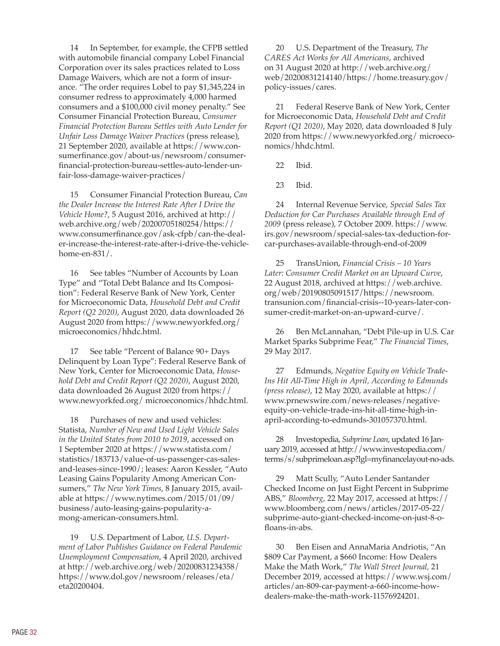14 In September, for example, the CFPB settled with automobile financial company Lobel Financial Corporation over its sales practices related to Loss Damage Waivers, which are not a form of insurance. "The order requires Lobel to pay \$1,345,224 in consumer redress to approximately 4,000 harmed consumers and a \$100,000 civil money penalty." See Consumer Financial Protection Bureau, *Consumer Financial Protection Bureau Settles with Auto Lender for Unfair Loss Damage Waiver Practices* (press release), 21 September 2020, available at [https://www.con](https://www.consumerfinance.gov/about-us/newsroom/consumer-financial-protection-bureau-settles-auto-lender-unfair-loss-damage-waiver-practices/)[sumerfinance.gov/about-us/newsroom/consumer](https://www.consumerfinance.gov/about-us/newsroom/consumer-financial-protection-bureau-settles-auto-lender-unfair-loss-damage-waiver-practices/)[financial-protection-bureau-settles-auto-lender-un](https://www.consumerfinance.gov/about-us/newsroom/consumer-financial-protection-bureau-settles-auto-lender-unfair-loss-damage-waiver-practices/)[fair-loss-damage-waiver-practices/](https://www.consumerfinance.gov/about-us/newsroom/consumer-financial-protection-bureau-settles-auto-lender-unfair-loss-damage-waiver-practices/)

15 Consumer Financial Protection Bureau, *Can the Dealer Increase the Interest Rate After I Drive the Vehicle Home?*, 5 August 2016, archived at [http://](http://web.archive.org/web/20200705180254/https://www.consumerfinance.gov/ask-cfpb/can-the-dealer-increase-the-interest-rate-after-i-drive-the-vehicle-home-en-831/) [web.archive.org/web/20200705180254/https://](http://web.archive.org/web/20200705180254/https://www.consumerfinance.gov/ask-cfpb/can-the-dealer-increase-the-interest-rate-after-i-drive-the-vehicle-home-en-831/) [www.consumerfinance.gov/ask-cfpb/can-the-deal](http://web.archive.org/web/20200705180254/https://www.consumerfinance.gov/ask-cfpb/can-the-dealer-increase-the-interest-rate-after-i-drive-the-vehicle-home-en-831/)[er-increase-the-interest-rate-after-i-drive-the-vehicle](http://web.archive.org/web/20200705180254/https://www.consumerfinance.gov/ask-cfpb/can-the-dealer-increase-the-interest-rate-after-i-drive-the-vehicle-home-en-831/)[home-en-831/](http://web.archive.org/web/20200705180254/https://www.consumerfinance.gov/ask-cfpb/can-the-dealer-increase-the-interest-rate-after-i-drive-the-vehicle-home-en-831/).

16 See tables "Number of Accounts by Loan Type" and "Total Debt Balance and Its Composition": Federal Reserve Bank of New York, Center for Microeconomic Data, *Household Debt and Credit Report (Q2 2020)*, August 2020, data downloaded 26 August 2020 from <https://www.newyorkfed.org/> microeconomics/hhdc.html.

17 See table "Percent of Balance 90+ Days Delinquent by Loan Type": Federal Reserve Bank of New York, Center for Microeconomic Data, *Household Debt and Credit Report (Q2 2020)*, August 2020, data downloaded 26 August 2020 from [https://](https://www.newyorkfed.org/) [www.newyorkfed.org/](https://www.newyorkfed.org/) microeconomics/hhdc.html.

18 Purchases of new and used vehicles: Statista, *Number of New and Used Light Vehicle Sales in the United States from 2010 to 2019*, accessed on 1 September 2020 at [https://www.statista.com/](https://www.statista.com/statistics/183713/value-of-us-passenger-cas-sales-and-leases-since-1990/) [statistics/183713/value-of-us-passenger-cas-sales](https://www.statista.com/statistics/183713/value-of-us-passenger-cas-sales-and-leases-since-1990/)[and-leases-since-1990/](https://www.statista.com/statistics/183713/value-of-us-passenger-cas-sales-and-leases-since-1990/); leases: Aaron Kessler, "Auto Leasing Gains Popularity Among American Consumers," *The New York Times*, 8 January 2015, available at [https://www.nytimes.com/2015/01/09/](http://www.https://www.nytimes.com/2015/01/09/business/auto-leasing-gains-popularity-among-american-consumers.html) [business/auto-leasing-gains-popularity-a](http://www.https://www.nytimes.com/2015/01/09/business/auto-leasing-gains-popularity-among-american-consumers.html)[mong-american-consumers.html](http://www.https://www.nytimes.com/2015/01/09/business/auto-leasing-gains-popularity-among-american-consumers.html).

19 U.S. Department of Labor, *U.S. Department of Labor Publishes Guidance on Federal Pandemic Unemployment Compensation*, 4 April 2020, archived at [http://web.archive.org/web/20200831234358/](http://web.archive.org/web/20200831234358/https://www.dol.gov/newsroom/releases/eta/eta20200404) [https://www.dol.gov/newsroom/releases/eta/](http://web.archive.org/web/20200831234358/https://www.dol.gov/newsroom/releases/eta/eta20200404) [eta20200404](http://web.archive.org/web/20200831234358/https://www.dol.gov/newsroom/releases/eta/eta20200404).

20 U.S. Department of the Treasury, *The CARES Act Works for All Americans*, archived on 31 August 2020 at [http://web.archive.org/](http://web.archive.org/web/20200831214140/https://home.treasury.gov/policy-issues/cares) [web/20200831214140/https://home.treasury.gov/](http://web.archive.org/web/20200831214140/https://home.treasury.gov/policy-issues/cares) [policy-issues/cares](http://web.archive.org/web/20200831214140/https://home.treasury.gov/policy-issues/cares).

21 Federal Reserve Bank of New York, Center for Microeconomic Data, *Household Debt and Credit Report (Q1 2020)*, May 2020, data downloaded 8 July 2020 from <https://www.newyorkfed.org/> microeconomics/hhdc.html.

22 Ibid.

23 Ibid.

24 Internal Revenue Service, *Special Sales Tax Deduction for Car Purchases Available through End of 2009* (press release), 7 October 2009. [https://www.](https://www.irs.gov/newsroom/special-sales-tax-deduction-for-car-purchases-available-through-end-of-2009) [irs.gov/newsroom/special-sales-tax-deduction-for](https://www.irs.gov/newsroom/special-sales-tax-deduction-for-car-purchases-available-through-end-of-2009)[car-purchases-available-through-end-of-2009](https://www.irs.gov/newsroom/special-sales-tax-deduction-for-car-purchases-available-through-end-of-2009)

25 TransUnion, *Financial Crisis – 10 Years Later: Consumer Credit Market on an Upward Curve*, 22 August 2018, archived at [https://web.archive.](https://web.archive.org/web/20190805091517/https://newsroom.transunion.com/financial-crisis--10-years-later-consumer-credit-market-on-an-upward-curve/) [org/web/20190805091517/https://newsroom.](https://web.archive.org/web/20190805091517/https://newsroom.transunion.com/financial-crisis--10-years-later-consumer-credit-market-on-an-upward-curve/) [transunion.com/financial-crisis--10-years-later-con](https://web.archive.org/web/20190805091517/https://newsroom.transunion.com/financial-crisis--10-years-later-consumer-credit-market-on-an-upward-curve/)[sumer-credit-market-on-an-upward-curve/.](https://web.archive.org/web/20190805091517/https://newsroom.transunion.com/financial-crisis--10-years-later-consumer-credit-market-on-an-upward-curve/)

26 Ben McLannahan, "Debt Pile-up in U.S. Car Market Sparks Subprime Fear," *The Financial Times*, 29 May 2017.

27 Edmunds, *Negative Equity on Vehicle Trade-Ins Hit All-Time High in April, According to Edmunds (press release)*, 12 May 2020, available at [https://](https://www.prnewswire.com/news-releases/negative-equity-on-vehicle-trade-ins-hit-all-time-high-in-april-according-to-edmunds-301057370.html) [www.prnewswire.com/news-releases/negative](https://www.prnewswire.com/news-releases/negative-equity-on-vehicle-trade-ins-hit-all-time-high-in-april-according-to-edmunds-301057370.html)[equity-on-vehicle-trade-ins-hit-all-time-high-in](https://www.prnewswire.com/news-releases/negative-equity-on-vehicle-trade-ins-hit-all-time-high-in-april-according-to-edmunds-301057370.html)[april-according-to-edmunds-301057370.html.](https://www.prnewswire.com/news-releases/negative-equity-on-vehicle-trade-ins-hit-all-time-high-in-april-according-to-edmunds-301057370.html)

28 Investopedia, *Subprime Loan*, updated 16 January 2019, accessed at [http://www.investopedia](http://www.investopedia. com/terms/s/subprimeloan.asp?lgl=myfinancelayout-no-ads).com/ terms/s/subprimeloan.asp?lgl=myfinancelayout-no-ads.

29 Matt Scully, "Auto Lender Santander Checked Income on Just Eight Percent in Subprime ABS," *Bloomberg*, 22 May 2017, accessed at https:// [www.bloomberg.com/news/articles/2017-05-22/](http://www.bloomberg.com/news/articles/2017-05-22/) subprime-auto-giant-checked-income-on-just-8-ofloans-in-abs.

30 Ben Eisen and AnnaMaria Andriotis, "An \$809 Car Payment, a \$660 Income: How Dealers Make the Math Work," *The Wall Street Journal,* 21 December 2019, accessed at [https://www.wsj.com/](https://www.wsj.com/articles/an-809-car-payment-a-660-income-how-dealers-make-the-math-work-11576924201) [articles/an-809-car-payment-a-660-income-how](https://www.wsj.com/articles/an-809-car-payment-a-660-income-how-dealers-make-the-math-work-11576924201)[dealers-make-the-math-work-11576924201](https://www.wsj.com/articles/an-809-car-payment-a-660-income-how-dealers-make-the-math-work-11576924201).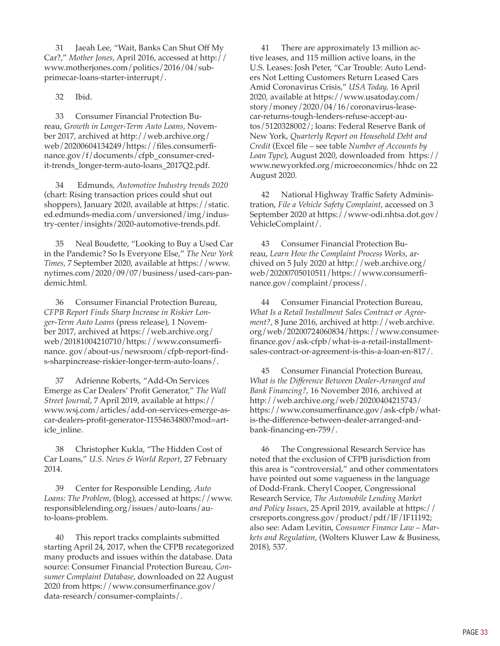31 Jaeah Lee, "Wait, Banks Can Shut Off My Car?," *Mother Jones*, April 2016, accessed at http:// [www.motherjones.com/politics/2016/04/sub](http://www.motherjones.com/politics/2016/04/subprimecar-loans-starter-interrupt/)[primecar-loans-starter-interrupt/](http://www.motherjones.com/politics/2016/04/subprimecar-loans-starter-interrupt/).

32 Ibid.

33 Consumer Financial Protection Bureau, *Growth in Longer-Term Auto Loans*, November 2017, archived at [http://web.archive.org/](http://web.archive.org/web/20200604134249/https://files.consumerfinance.gov/f/documents/cfpb_consumer-credit-trends_longer-term-auto-loans_2017Q2.pdf) [web/20200604134249/https://files.consumerfi](http://web.archive.org/web/20200604134249/https://files.consumerfinance.gov/f/documents/cfpb_consumer-credit-trends_longer-term-auto-loans_2017Q2.pdf)[nance.gov/f/documents/cfpb\\_consumer-cred](http://web.archive.org/web/20200604134249/https://files.consumerfinance.gov/f/documents/cfpb_consumer-credit-trends_longer-term-auto-loans_2017Q2.pdf)[it-trends\\_longer-term-auto-loans\\_2017Q2.pdf.](http://web.archive.org/web/20200604134249/https://files.consumerfinance.gov/f/documents/cfpb_consumer-credit-trends_longer-term-auto-loans_2017Q2.pdf)

34 Edmunds, *Automotive Industry trends 2020* (chart: Rising transaction prices could shut out shoppers), January 2020, available at [https://static.](http://www.https://static.ed.edmunds-media.com/unversioned/img/industry-center/insights/2020-automotive-trends.pdf) [ed.edmunds-media.com/unversioned/img/indus](http://www.https://static.ed.edmunds-media.com/unversioned/img/industry-center/insights/2020-automotive-trends.pdf)[try-center/insights/2020-automotive-trends.pdf](http://www.https://static.ed.edmunds-media.com/unversioned/img/industry-center/insights/2020-automotive-trends.pdf).

35 Neal Boudette, "Looking to Buy a Used Car in the Pandemic? So Is Everyone Else," *The New York Times,* 7 September 2020, available at [https://www.](http://www.https://www.nytimes.com/2020/09/07/business/used-cars-pandemic.html) [nytimes.com/2020/09/07/business/used-cars-pan](http://www.https://www.nytimes.com/2020/09/07/business/used-cars-pandemic.html)[demic.html](http://www.https://www.nytimes.com/2020/09/07/business/used-cars-pandemic.html).

36 Consumer Financial Protection Bureau, *CFPB Report Finds Sharp Increase in Riskier Longer-Term Auto Loans* (press release), 1 November 2017, archived at <https://web.archive.org/> web/20181004210710/[https://www.consumerfi](https://www.consumerfinance)[nance](https://www.consumerfinance). gov/about-us/newsroom/cfpb-report-finds-sharpincrease-riskier-longer-term-auto-loans/.

37 Adrienne Roberts, "Add-On Services Emerge as Car Dealers' Profit Generator," *The Wall Street Journal*, 7 April 2019, available at [https://](https://www.wsj.com/articles/add-on-services-emerge-as-car-dealers-profit-generator-11554634800?mod=article_inline) [www.wsj.com/articles/add-on-services-emerge-as](https://www.wsj.com/articles/add-on-services-emerge-as-car-dealers-profit-generator-11554634800?mod=article_inline)[car-dealers-profit-generator-11554634800?mod=art](https://www.wsj.com/articles/add-on-services-emerge-as-car-dealers-profit-generator-11554634800?mod=article_inline)[icle\\_inline](https://www.wsj.com/articles/add-on-services-emerge-as-car-dealers-profit-generator-11554634800?mod=article_inline).

38 Christopher Kukla, "The Hidden Cost of Car Loans," *U.S. News & World Report*, 27 February 2014.

39 Center for Responsible Lending, *Auto Loans: The Problem*, (blog), accessed at [https://www.](https://www.responsiblelending.org/issues/auto-loans/auto-loans-problem) [responsiblelending.org/issues/auto-loans/au](https://www.responsiblelending.org/issues/auto-loans/auto-loans-problem)[to-loans-problem](https://www.responsiblelending.org/issues/auto-loans/auto-loans-problem).

40 This report tracks complaints submitted starting April 24, 2017, when the CFPB recategorized many products and issues within the database. Data source: Consumer Financial Protection Bureau, *Consumer Complaint Database*, downloaded on 22 August 2020 from [https://www.consumerfinance.gov/](https://www.consumerfinance.gov/data-research/consumer-complaints/) [data-research/consumer-complaints/](https://www.consumerfinance.gov/data-research/consumer-complaints/).

41 There are approximately 13 million active leases, and 115 million active loans, in the U.S. Leases: Josh Peter, "Car Trouble: Auto Lenders Not Letting Customers Return Leased Cars Amid Coronavirus Crisis," *USA Today,* 16 April 2020, available at [https://www.usatoday.com/](https://www.usatoday.com/story/money/2020/04/16/coronavirus-lease-car-returns-tough-lenders-refuse-accept-autos/5120328002/) [story/money/2020/04/16/coronavirus-lease](https://www.usatoday.com/story/money/2020/04/16/coronavirus-lease-car-returns-tough-lenders-refuse-accept-autos/5120328002/)[car-returns-tough-lenders-refuse-accept-au](https://www.usatoday.com/story/money/2020/04/16/coronavirus-lease-car-returns-tough-lenders-refuse-accept-autos/5120328002/)[tos/5120328002/](https://www.usatoday.com/story/money/2020/04/16/coronavirus-lease-car-returns-tough-lenders-refuse-accept-autos/5120328002/); loans: Federal Reserve Bank of New York, *Quarterly Report on Household Debt and Credit* (Excel file – see table *Number of Accounts by Loan Type*), August 2020, downloaded from [https://](https://www.newyorkfed.org/microeconomics/hhdc) [www.newyorkfed.org/microeconomics/hhdc](https://www.newyorkfed.org/microeconomics/hhdc) on 22 August 2020.

42 National Highway Traffic Safety Administration, *File a Vehicle Safety Complaint*, accessed on 3 September 2020 at [https://www-odi.nhtsa.dot.gov/](http://www.https://www-odi.nhtsa.dot.gov/VehicleComplaint/) [VehicleComplaint/](http://www.https://www-odi.nhtsa.dot.gov/VehicleComplaint/).

43 Consumer Financial Protection Bureau, *Learn How the Complaint Process Works*, archived on 5 July 2020 at [http://web.archive.org/](http://web.archive.org/web/20200705010511/https://www.consumerfinance.gov/complaint/process/) [web/20200705010511/https://www.consumerfi](http://web.archive.org/web/20200705010511/https://www.consumerfinance.gov/complaint/process/)[nance.gov/complaint/process/.](http://web.archive.org/web/20200705010511/https://www.consumerfinance.gov/complaint/process/)

44 Consumer Financial Protection Bureau, *What Is a Retail Installment Sales Contract or Agreement?*, 8 June 2016, archived at [http://web.archive.](http://web.archive.org/web/20200724060834/https://www.consumerfinance.gov/ask-cfpb/what-is-a-retail-installment-sales-contract-or-agreement-is-this-a-loan-en-817/) [org/web/20200724060834/https://www.consumer](http://web.archive.org/web/20200724060834/https://www.consumerfinance.gov/ask-cfpb/what-is-a-retail-installment-sales-contract-or-agreement-is-this-a-loan-en-817/)[finance.gov/ask-cfpb/what-is-a-retail-installment](http://web.archive.org/web/20200724060834/https://www.consumerfinance.gov/ask-cfpb/what-is-a-retail-installment-sales-contract-or-agreement-is-this-a-loan-en-817/)[sales-contract-or-agreement-is-this-a-loan-en-817/.](http://web.archive.org/web/20200724060834/https://www.consumerfinance.gov/ask-cfpb/what-is-a-retail-installment-sales-contract-or-agreement-is-this-a-loan-en-817/)

45 Consumer Financial Protection Bureau, *What is the Difference Between Dealer-Arranged and Bank Financing?*, 16 November 2016, archived at [http://web.archive.org/web/20200404215743/](http://web.archive.org/web/20200404215743/https://www.consumerfinance.gov/ask-cfpb/what-is-the-difference-between-dealer-arranged-and-bank-financing-en-759/) [https://www.consumerfinance.gov/ask-cfpb/what](http://web.archive.org/web/20200404215743/https://www.consumerfinance.gov/ask-cfpb/what-is-the-difference-between-dealer-arranged-and-bank-financing-en-759/)[is-the-difference-between-dealer-arranged-and](http://web.archive.org/web/20200404215743/https://www.consumerfinance.gov/ask-cfpb/what-is-the-difference-between-dealer-arranged-and-bank-financing-en-759/)[bank-financing-en-759/](http://web.archive.org/web/20200404215743/https://www.consumerfinance.gov/ask-cfpb/what-is-the-difference-between-dealer-arranged-and-bank-financing-en-759/).

46 The Congressional Research Service has noted that the exclusion of CFPB jurisdiction from this area is "controversial," and other commentators have pointed out some vagueness in the language of Dodd-Frank. Cheryl Cooper, Congressional Research Service, *The Automobile Lending Market and Policy Issues*, 25 April 2019, available at [https://](https://crsreports.congress.gov/product/pdf/IF/IF11192) [crsreports.congress.gov/product/pdf/IF/IF11192;](https://crsreports.congress.gov/product/pdf/IF/IF11192) also see: Adam Levitin, *Consumer Finance Law – Markets and Regulation*, (Wolters Kluwer Law & Business, 2018), 537.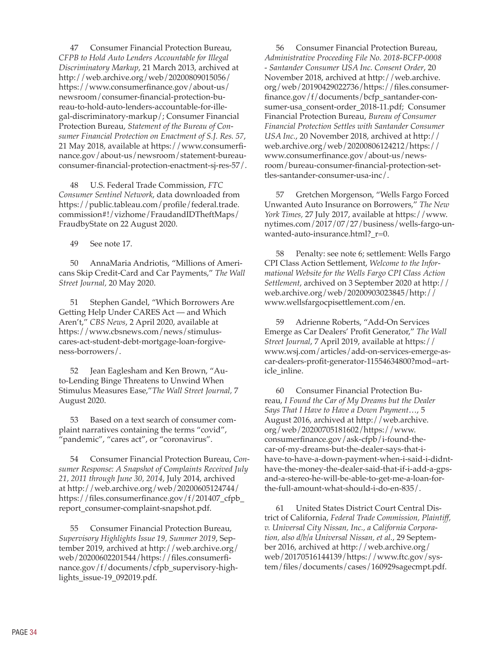47 Consumer Financial Protection Bureau, *CFPB to Hold Auto Lenders Accountable for Illegal Discriminatory Markup*, 21 March 2013, archived at [http://web.archive.org/web/20200809015056/](http://web.archive.org/web/20200809015056/https://www.consumerfinance.gov/about-us/newsroom/consumer-financial-protection-bureau-to-hold-auto-lenders-accountable-for-illegal-discriminatory-markup/) [https://www.consumerfinance.gov/about-us/](http://web.archive.org/web/20200809015056/https://www.consumerfinance.gov/about-us/newsroom/consumer-financial-protection-bureau-to-hold-auto-lenders-accountable-for-illegal-discriminatory-markup/) [newsroom/consumer-financial-protection-bu](http://web.archive.org/web/20200809015056/https://www.consumerfinance.gov/about-us/newsroom/consumer-financial-protection-bureau-to-hold-auto-lenders-accountable-for-illegal-discriminatory-markup/)[reau-to-hold-auto-lenders-accountable-for-ille](http://web.archive.org/web/20200809015056/https://www.consumerfinance.gov/about-us/newsroom/consumer-financial-protection-bureau-to-hold-auto-lenders-accountable-for-illegal-discriminatory-markup/)[gal-discriminatory-markup/;](http://web.archive.org/web/20200809015056/https://www.consumerfinance.gov/about-us/newsroom/consumer-financial-protection-bureau-to-hold-auto-lenders-accountable-for-illegal-discriminatory-markup/) Consumer Financial Protection Bureau, *Statement of the Bureau of Consumer Financial Protection on Enactment of S.J. Res. 57*, 21 May 2018, available at [https://www.consumerfi](https://www.consumerfinance.gov/about-us/newsroom/statement-bureau-consumer-financial-protection-enactment-sj-res-57/)[nance.gov/about-us/newsroom/statement-bureau](https://www.consumerfinance.gov/about-us/newsroom/statement-bureau-consumer-financial-protection-enactment-sj-res-57/)[consumer-financial-protection-enactment-sj-res-57/](https://www.consumerfinance.gov/about-us/newsroom/statement-bureau-consumer-financial-protection-enactment-sj-res-57/).

48 U.S. Federal Trade Commission, *FTC Consumer Sentinel Network*, data downloaded from [https://public.tableau.com/profile/federal.trade.](https://public.tableau.com/profile/federal.trade.commission#!/vizhome/FraudandIDTheftMaps/FraudbyState) [commission#!/vizhome/FraudandIDTheftMaps/](https://public.tableau.com/profile/federal.trade.commission#!/vizhome/FraudandIDTheftMaps/FraudbyState) [FraudbyState](https://public.tableau.com/profile/federal.trade.commission#!/vizhome/FraudandIDTheftMaps/FraudbyState) on 22 August 2020.

49 See note 17.

50 AnnaMaria Andriotis, "Millions of Americans Skip Credit-Card and Car Payments," *The Wall Street Journal,* 20 May 2020.

51 Stephen Gandel, "Which Borrowers Are Getting Help Under CARES Act — and Which Aren't," *CBS News*, 2 April 2020, available at [https://www.cbsnews.com/news/stimulus](https://www.cbsnews.com/news/stimulus-cares-act-student-debt-mortgage-loan-forgiveness-borrowers/)[cares-act-student-debt-mortgage-loan-forgive](https://www.cbsnews.com/news/stimulus-cares-act-student-debt-mortgage-loan-forgiveness-borrowers/)[ness-borrowers/.](https://www.cbsnews.com/news/stimulus-cares-act-student-debt-mortgage-loan-forgiveness-borrowers/)

52 Jean Eaglesham and Ken Brown, "Auto-Lending Binge Threatens to Unwind When Stimulus Measures Ease,"*The Wall Street Journal,* 7 August 2020.

53 Based on a text search of consumer complaint narratives containing the terms "covid", "pandemic", "cares act", or "coronavirus".

54 Consumer Financial Protection Bureau, *Consumer Response: A Snapshot of Complaints Received July 21, 2011 through June 30, 2014*, July 2014, archived at [http://web.archive.org/web/20200605124744/](http://web.archive.org/web/20200605124744/https://files.consumerfinance.gov/f/201407_cfpb_report_consumer-complaint-snapshot.pdf) [https://files.consumerfinance.gov/f/201407\\_cfpb\\_](http://web.archive.org/web/20200605124744/https://files.consumerfinance.gov/f/201407_cfpb_report_consumer-complaint-snapshot.pdf) [report\\_consumer-complaint-snapshot.pdf.](http://web.archive.org/web/20200605124744/https://files.consumerfinance.gov/f/201407_cfpb_report_consumer-complaint-snapshot.pdf)

55 Consumer Financial Protection Bureau, *Supervisory Highlights Issue 19, Summer 2019*, September 2019, archived at [http://web.archive.org/](http://web.archive.org/web/20200602201544/https://files.consumerfinance.gov/f/documents/cfpb_supervisory-highlights_issue-19_092019.pdf) [web/20200602201544/https://files.consumerfi](http://web.archive.org/web/20200602201544/https://files.consumerfinance.gov/f/documents/cfpb_supervisory-highlights_issue-19_092019.pdf)[nance.gov/f/documents/cfpb\\_supervisory-high](http://web.archive.org/web/20200602201544/https://files.consumerfinance.gov/f/documents/cfpb_supervisory-highlights_issue-19_092019.pdf)[lights\\_issue-19\\_092019.pdf](http://web.archive.org/web/20200602201544/https://files.consumerfinance.gov/f/documents/cfpb_supervisory-highlights_issue-19_092019.pdf).

56 Consumer Financial Protection Bureau, *Administrative Proceeding File No. 2018-BCFP-0008 - Santander Consumer USA Inc. Consent Order*, 20 November 2018, archived at [http://web.archive.](http://web.archive.org/web/20190429022736/https://files.consumerfinance.gov/f/documents/bcfp_santander-consumer-usa_consent-order_2018-11.pdf) [org/web/20190429022736/https://files.consumer](http://web.archive.org/web/20190429022736/https://files.consumerfinance.gov/f/documents/bcfp_santander-consumer-usa_consent-order_2018-11.pdf)[finance.gov/f/documents/bcfp\\_santander-con](http://web.archive.org/web/20190429022736/https://files.consumerfinance.gov/f/documents/bcfp_santander-consumer-usa_consent-order_2018-11.pdf)[sumer-usa\\_consent-order\\_2018-11.pdf](http://web.archive.org/web/20190429022736/https://files.consumerfinance.gov/f/documents/bcfp_santander-consumer-usa_consent-order_2018-11.pdf); Consumer Financial Protection Bureau, *Bureau of Consumer Financial Protection Settles with Santander Consumer USA Inc.*, 20 November 2018, archived at [http://](http://web.archive.org/web/20200806124212/https://www.consumerfinance.gov/about-us/newsroom/bureau-consumer-financial-protection-settles-santander-consumer-usa-inc/) [web.archive.org/web/20200806124212/https://](http://web.archive.org/web/20200806124212/https://www.consumerfinance.gov/about-us/newsroom/bureau-consumer-financial-protection-settles-santander-consumer-usa-inc/) [www.consumerfinance.gov/about-us/news](http://web.archive.org/web/20200806124212/https://www.consumerfinance.gov/about-us/newsroom/bureau-consumer-financial-protection-settles-santander-consumer-usa-inc/)[room/bureau-consumer-financial-protection-set](http://web.archive.org/web/20200806124212/https://www.consumerfinance.gov/about-us/newsroom/bureau-consumer-financial-protection-settles-santander-consumer-usa-inc/)[tles-santander-consumer-usa-inc/](http://web.archive.org/web/20200806124212/https://www.consumerfinance.gov/about-us/newsroom/bureau-consumer-financial-protection-settles-santander-consumer-usa-inc/).

57 Gretchen Morgenson, "Wells Fargo Forced Unwanted Auto Insurance on Borrowers," *The New York Times,* 27 July 2017, available at [https://www.](http://www.https://www.nytimes.com/2017/07/27/business/wells-fargo-unwanted-auto-insurance.html?_r=0) [nytimes.com/2017/07/27/business/wells-fargo-un](http://www.https://www.nytimes.com/2017/07/27/business/wells-fargo-unwanted-auto-insurance.html?_r=0)wanted-auto-insurance.html? $r=0$ .

58 Penalty: see note 6; settlement: Wells Fargo CPI Class Action Settlement, *Welcome to the Informational Website for the Wells Fargo CPI Class Action Settlement*, archived on 3 September 2020 at [http://](http://web.archive.org/web/20200903023845/http://www.wellsfargocpisettlement.com/en) [web.archive.org/web/20200903023845/http://](http://web.archive.org/web/20200903023845/http://www.wellsfargocpisettlement.com/en) [www.wellsfargocpisettlement.com/en](http://web.archive.org/web/20200903023845/http://www.wellsfargocpisettlement.com/en).

59 Adrienne Roberts, "Add-On Services Emerge as Car Dealers' Profit Generator," *The Wall Street Journal*, 7 April 2019, available at [https://](https://www.wsj.com/articles/add-on-services-emerge-as-car-dealers-profit-generator-11554634800?mod=article_inline) [www.wsj.com/articles/add-on-services-emerge-as](https://www.wsj.com/articles/add-on-services-emerge-as-car-dealers-profit-generator-11554634800?mod=article_inline)[car-dealers-profit-generator-11554634800?mod=art](https://www.wsj.com/articles/add-on-services-emerge-as-car-dealers-profit-generator-11554634800?mod=article_inline)[icle\\_inline](https://www.wsj.com/articles/add-on-services-emerge-as-car-dealers-profit-generator-11554634800?mod=article_inline).

60 Consumer Financial Protection Bureau, *I Found the Car of My Dreams but the Dealer Says That I Have to Have a Down Payment*…, 5 August 2016, archived at [http://web.archive.](http://web.archive.org/web/20200705181602/https://www.consumerfinance.gov/ask-cfpb/i-found-the-car-of-my-dreams-but-the-dealer-says-that-i-have-to-have-a-down-payment-when-i-said-i-didnt-have-the-money-the-dealer-said-that-if-i-add-a-gps-and-a-stereo-he-will-be-able-to-get-me-a-loan-for-the-full-amount-what-should-i-do-en-835/) [org/web/20200705181602/https://www.](http://web.archive.org/web/20200705181602/https://www.consumerfinance.gov/ask-cfpb/i-found-the-car-of-my-dreams-but-the-dealer-says-that-i-have-to-have-a-down-payment-when-i-said-i-didnt-have-the-money-the-dealer-said-that-if-i-add-a-gps-and-a-stereo-he-will-be-able-to-get-me-a-loan-for-the-full-amount-what-should-i-do-en-835/) [consumerfinance.gov/ask-cfpb/i-found-the](http://web.archive.org/web/20200705181602/https://www.consumerfinance.gov/ask-cfpb/i-found-the-car-of-my-dreams-but-the-dealer-says-that-i-have-to-have-a-down-payment-when-i-said-i-didnt-have-the-money-the-dealer-said-that-if-i-add-a-gps-and-a-stereo-he-will-be-able-to-get-me-a-loan-for-the-full-amount-what-should-i-do-en-835/)[car-of-my-dreams-but-the-dealer-says-that-i](http://web.archive.org/web/20200705181602/https://www.consumerfinance.gov/ask-cfpb/i-found-the-car-of-my-dreams-but-the-dealer-says-that-i-have-to-have-a-down-payment-when-i-said-i-didnt-have-the-money-the-dealer-said-that-if-i-add-a-gps-and-a-stereo-he-will-be-able-to-get-me-a-loan-for-the-full-amount-what-should-i-do-en-835/)[have-to-have-a-down-payment-when-i-said-i-didnt](http://web.archive.org/web/20200705181602/https://www.consumerfinance.gov/ask-cfpb/i-found-the-car-of-my-dreams-but-the-dealer-says-that-i-have-to-have-a-down-payment-when-i-said-i-didnt-have-the-money-the-dealer-said-that-if-i-add-a-gps-and-a-stereo-he-will-be-able-to-get-me-a-loan-for-the-full-amount-what-should-i-do-en-835/)[have-the-money-the-dealer-said-that-if-i-add-a-gps](http://web.archive.org/web/20200705181602/https://www.consumerfinance.gov/ask-cfpb/i-found-the-car-of-my-dreams-but-the-dealer-says-that-i-have-to-have-a-down-payment-when-i-said-i-didnt-have-the-money-the-dealer-said-that-if-i-add-a-gps-and-a-stereo-he-will-be-able-to-get-me-a-loan-for-the-full-amount-what-should-i-do-en-835/)[and-a-stereo-he-will-be-able-to-get-me-a-loan-for](http://web.archive.org/web/20200705181602/https://www.consumerfinance.gov/ask-cfpb/i-found-the-car-of-my-dreams-but-the-dealer-says-that-i-have-to-have-a-down-payment-when-i-said-i-didnt-have-the-money-the-dealer-said-that-if-i-add-a-gps-and-a-stereo-he-will-be-able-to-get-me-a-loan-for-the-full-amount-what-should-i-do-en-835/)[the-full-amount-what-should-i-do-en-835/](http://web.archive.org/web/20200705181602/https://www.consumerfinance.gov/ask-cfpb/i-found-the-car-of-my-dreams-but-the-dealer-says-that-i-have-to-have-a-down-payment-when-i-said-i-didnt-have-the-money-the-dealer-said-that-if-i-add-a-gps-and-a-stereo-he-will-be-able-to-get-me-a-loan-for-the-full-amount-what-should-i-do-en-835/).

61 United States District Court Central District of California, *Federal Trade Commission, Plaintiff, v. Universal City Nissan, Inc., a California Corporation, also d/b/a Universal Nissan, et al.*, 29 September 2016, archived at [http://web.archive.org/](http://web.archive.org/web/20170516144139/https://www.ftc.gov/system/files/documents/cases/160929sagecmpt.pdf) [web/20170516144139/https://www.ftc.gov/sys](http://web.archive.org/web/20170516144139/https://www.ftc.gov/system/files/documents/cases/160929sagecmpt.pdf)[tem/files/documents/cases/160929sagecmpt.pdf](http://web.archive.org/web/20170516144139/https://www.ftc.gov/system/files/documents/cases/160929sagecmpt.pdf).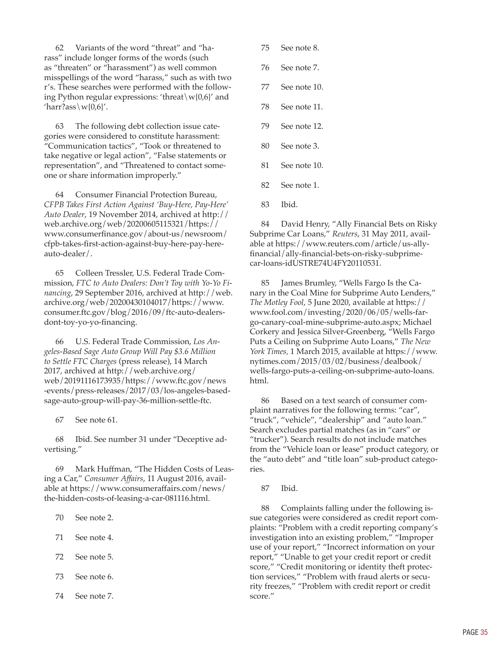62 Variants of the word "threat" and "harass" include longer forms of the words (such as "threaten" or "harassment") as well common misspellings of the word "harass," such as with two r's. These searches were performed with the following Python regular expressions: 'threat\w{0,6}' and 'harr?ass\w{0,6}'.

63 The following debt collection issue categories were considered to constitute harassment: "Communication tactics", "Took or threatened to take negative or legal action", "False statements or representation", and "Threatened to contact someone or share information improperly."

64 Consumer Financial Protection Bureau, *CFPB Takes First Action Against 'Buy-Here, Pay-Here' Auto Dealer*, 19 November 2014, archived at [http://](http://web.archive.org/web/20200605115321/https://www.consumerfinance.gov/about-us/newsroom/cfpb-takes-first-action-against-buy-here-pay-here-auto-dealer/) [web.archive.org/web/20200605115321/https://](http://web.archive.org/web/20200605115321/https://www.consumerfinance.gov/about-us/newsroom/cfpb-takes-first-action-against-buy-here-pay-here-auto-dealer/) [www.consumerfinance.gov/about-us/newsroom/](http://web.archive.org/web/20200605115321/https://www.consumerfinance.gov/about-us/newsroom/cfpb-takes-first-action-against-buy-here-pay-here-auto-dealer/) [cfpb-takes-first-action-against-buy-here-pay-here](http://web.archive.org/web/20200605115321/https://www.consumerfinance.gov/about-us/newsroom/cfpb-takes-first-action-against-buy-here-pay-here-auto-dealer/)[auto-dealer/.](http://web.archive.org/web/20200605115321/https://www.consumerfinance.gov/about-us/newsroom/cfpb-takes-first-action-against-buy-here-pay-here-auto-dealer/)

65 Colleen Tressler, U.S. Federal Trade Commission, *FTC to Auto Dealers: Don't Toy with Yo-Yo Financing*, 29 September 2016, archived at [http://web.](http://web.archive.org/web/20200430104017/https://www.consumer.ftc.gov/blog/2016/09/ftc-auto-dealers-dont-toy-yo-yo-financing) [archive.org/web/20200430104017/https://www.](http://web.archive.org/web/20200430104017/https://www.consumer.ftc.gov/blog/2016/09/ftc-auto-dealers-dont-toy-yo-yo-financing) [consumer.ftc.gov/blog/2016/09/ftc-auto-dealers](http://web.archive.org/web/20200430104017/https://www.consumer.ftc.gov/blog/2016/09/ftc-auto-dealers-dont-toy-yo-yo-financing)[dont-toy-yo-yo-financing](http://web.archive.org/web/20200430104017/https://www.consumer.ftc.gov/blog/2016/09/ftc-auto-dealers-dont-toy-yo-yo-financing).

66 U.S. Federal Trade Commission, *Los Angeles-Based Sage Auto Group Will Pay \$3.6 Million to Settle FTC Charges* (press release), 14 March 2017, archived at [http://web.archive.org/](http://web.archive.org/web/20191116173935/https://www.ftc.gov/news-events/press-releases/2017/03/los-angeles-based-sage-auto-group-will-pay-36-million-settle-ftc) [web/20191116173935/https://www.ftc.gov/news](http://web.archive.org/web/20191116173935/https://www.ftc.gov/news-events/press-releases/2017/03/los-angeles-based-sage-auto-group-will-pay-36-million-settle-ftc) [-events/press-releases/2017/03/los-angeles-based](http://web.archive.org/web/20191116173935/https://www.ftc.gov/news-events/press-releases/2017/03/los-angeles-based-sage-auto-group-will-pay-36-million-settle-ftc)[sage-auto-group-will-pay-36-million-settle-ftc](http://web.archive.org/web/20191116173935/https://www.ftc.gov/news-events/press-releases/2017/03/los-angeles-based-sage-auto-group-will-pay-36-million-settle-ftc).

67 See note 61.

68 Ibid. See number 31 under "Deceptive advertising."

69 Mark Huffman, "The Hidden Costs of Leasing a Car," *Consumer Affairs*, 11 August 2016, available at [https://www.consumeraffairs.com/news/](http://www.https://www.consumeraffairs.com/news/the-hidden-costs-of-leasing-a-car-081116.html) [the-hidden-costs-of-leasing-a-car-081116.html.](http://www.https://www.consumeraffairs.com/news/the-hidden-costs-of-leasing-a-car-081116.html)

- 70 See note 2.
- 71 See note 4.
- 72 See note 5.
- 73 See note 6.
- 74 See note 7.
- 75 See note 8.
- 76 See note 7.
- 77 See note 10.
- 78 See note 11.
- 79 See note 12.
- 80 See note 3.
- 81 See note 10.
- 82 See note 1.
- 83 Ibid.

84 David Henry, "Ally Financial Bets on Risky Subprime Car Loans," *Reuters*, 31 May 2011, available at [https://www.reuters.com/article/us-ally](https://www.reuters.com/article/us-allyfinancial/ally-financial-bets-on-risky-subprime-car-loans-idUSTRE74U4FY20110531)[financial/ally-financial-bets-on-risky-subprime](https://www.reuters.com/article/us-allyfinancial/ally-financial-bets-on-risky-subprime-car-loans-idUSTRE74U4FY20110531)[car-loans-idUSTRE74U4FY20110531.](https://www.reuters.com/article/us-allyfinancial/ally-financial-bets-on-risky-subprime-car-loans-idUSTRE74U4FY20110531)

85 James Brumley, "Wells Fargo Is the Canary in the Coal Mine for Subprime Auto Lenders," *The Motley Fool*, 5 June 2020, available at [https://](http://www.https://www.fool.com/investing/2020/06/05/wells-fargo-canary-coal-mine-subprime-auto.aspx) [www.fool.com/investing/2020/06/05/wells-far](http://www.https://www.fool.com/investing/2020/06/05/wells-fargo-canary-coal-mine-subprime-auto.aspx)[go-canary-coal-mine-subprime-auto.aspx;](http://www.https://www.fool.com/investing/2020/06/05/wells-fargo-canary-coal-mine-subprime-auto.aspx) Michael Corkery and Jessica Silver-Greenberg, "Wells Fargo Puts a Ceiling on Subprime Auto Loans," *The New York Times,* 1 March 2015, available at [https://www.](http://www.https://www.nytimes.com/2015/03/02/business/dealbook/wells-fargo-puts-a-ceiling-on-subprime-auto-loans.html) [nytimes.com/2015/03/02/business/dealbook/](http://www.https://www.nytimes.com/2015/03/02/business/dealbook/wells-fargo-puts-a-ceiling-on-subprime-auto-loans.html) [wells-fargo-puts-a-ceiling-on-subprime-auto-loans.](http://www.https://www.nytimes.com/2015/03/02/business/dealbook/wells-fargo-puts-a-ceiling-on-subprime-auto-loans.html) [html.](http://www.https://www.nytimes.com/2015/03/02/business/dealbook/wells-fargo-puts-a-ceiling-on-subprime-auto-loans.html)

86 Based on a text search of consumer complaint narratives for the following terms: "car", "truck", "vehicle", "dealership" and "auto loan." Search excludes partial matches (as in "cars" or "trucker"). Search results do not include matches from the "Vehicle loan or lease" product category, or the "auto debt" and "title loan" sub-product categories.

87 Ibid.

88 Complaints falling under the following issue categories were considered as credit report complaints: "Problem with a credit reporting company's investigation into an existing problem," "Improper use of your report," "Incorrect information on your report," "Unable to get your credit report or credit score," "Credit monitoring or identity theft protection services," "Problem with fraud alerts or security freezes," "Problem with credit report or credit score."